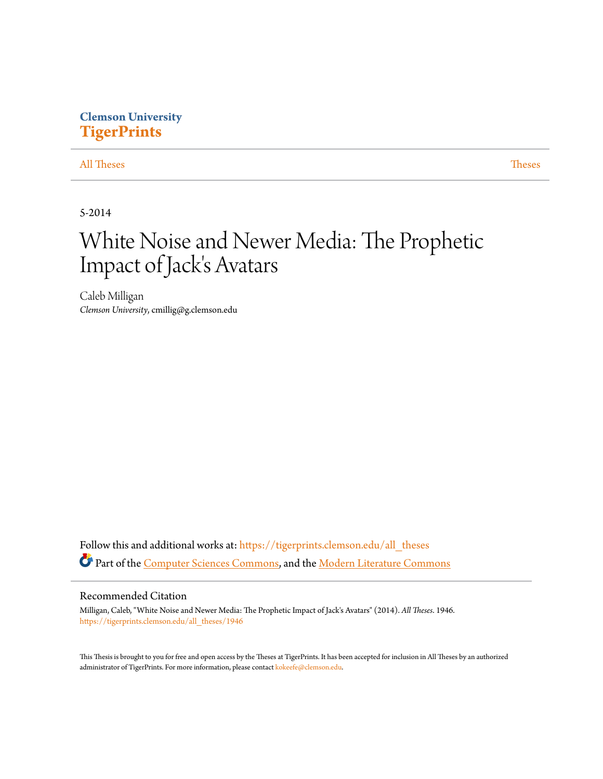# **Clemson University [TigerPrints](https://tigerprints.clemson.edu?utm_source=tigerprints.clemson.edu%2Fall_theses%2F1946&utm_medium=PDF&utm_campaign=PDFCoverPages)**

# [All Theses](https://tigerprints.clemson.edu/all_theses?utm_source=tigerprints.clemson.edu%2Fall_theses%2F1946&utm_medium=PDF&utm_campaign=PDFCoverPages) **[Theses](https://tigerprints.clemson.edu/theses?utm_source=tigerprints.clemson.edu%2Fall_theses%2F1946&utm_medium=PDF&utm_campaign=PDFCoverPages)**

5-2014

# White Noise and Newer Media: The Prophetic Impact of Jack's Avatars

Caleb Milligan *Clemson University*, cmillig@g.clemson.edu

Follow this and additional works at: [https://tigerprints.clemson.edu/all\\_theses](https://tigerprints.clemson.edu/all_theses?utm_source=tigerprints.clemson.edu%2Fall_theses%2F1946&utm_medium=PDF&utm_campaign=PDFCoverPages) Part of the [Computer Sciences Commons](http://network.bepress.com/hgg/discipline/142?utm_source=tigerprints.clemson.edu%2Fall_theses%2F1946&utm_medium=PDF&utm_campaign=PDFCoverPages), and the [Modern Literature Commons](http://network.bepress.com/hgg/discipline/1050?utm_source=tigerprints.clemson.edu%2Fall_theses%2F1946&utm_medium=PDF&utm_campaign=PDFCoverPages)

## Recommended Citation

Milligan, Caleb, "White Noise and Newer Media: The Prophetic Impact of Jack's Avatars" (2014). *All Theses*. 1946. [https://tigerprints.clemson.edu/all\\_theses/1946](https://tigerprints.clemson.edu/all_theses/1946?utm_source=tigerprints.clemson.edu%2Fall_theses%2F1946&utm_medium=PDF&utm_campaign=PDFCoverPages)

This Thesis is brought to you for free and open access by the Theses at TigerPrints. It has been accepted for inclusion in All Theses by an authorized administrator of TigerPrints. For more information, please contact [kokeefe@clemson.edu](mailto:kokeefe@clemson.edu).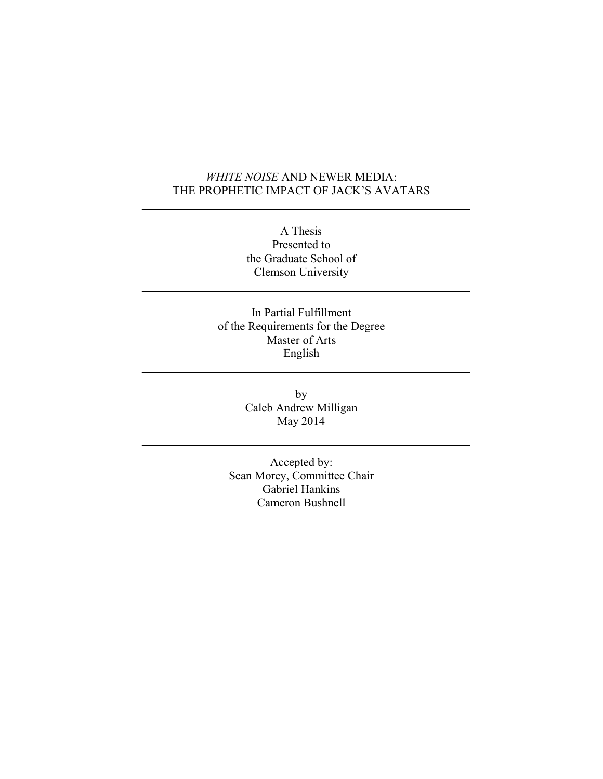# *WHITE NOISE* AND NEWER MEDIA: THE PROPHETIC IMPACT OF JACK'S AVATARS

A Thesis Presented to the Graduate School of Clemson University

In Partial Fulfillment of the Requirements for the Degree Master of Arts English

> by Caleb Andrew Milligan May 2014

Accepted by: Sean Morey, Committee Chair Gabriel Hankins Cameron Bushnell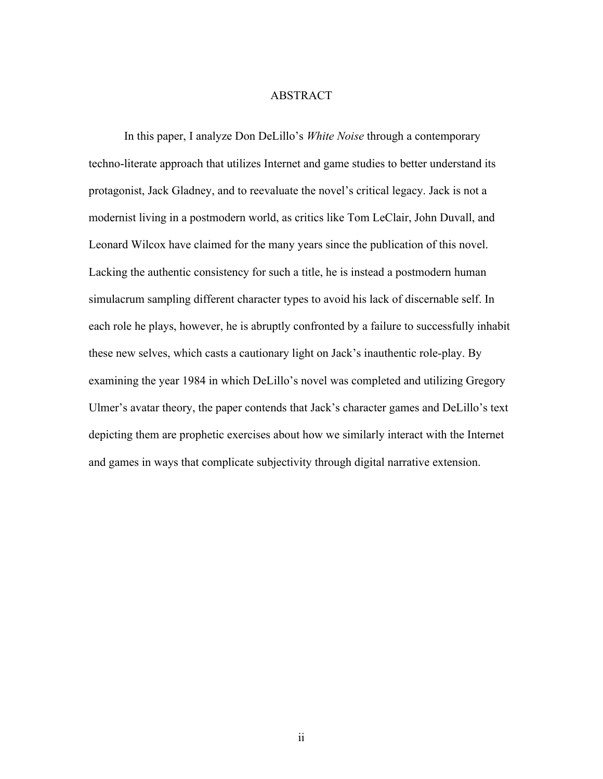## ABSTRACT

In this paper, I analyze Don DeLillo's *White Noise* through a contemporary techno-literate approach that utilizes Internet and game studies to better understand its protagonist, Jack Gladney, and to reevaluate the novel's critical legacy. Jack is not a modernist living in a postmodern world, as critics like Tom LeClair, John Duvall, and Leonard Wilcox have claimed for the many years since the publication of this novel. Lacking the authentic consistency for such a title, he is instead a postmodern human simulacrum sampling different character types to avoid his lack of discernable self. In each role he plays, however, he is abruptly confronted by a failure to successfully inhabit these new selves, which casts a cautionary light on Jack's inauthentic role-play. By examining the year 1984 in which DeLillo's novel was completed and utilizing Gregory Ulmer's avatar theory, the paper contends that Jack's character games and DeLillo's text depicting them are prophetic exercises about how we similarly interact with the Internet and games in ways that complicate subjectivity through digital narrative extension.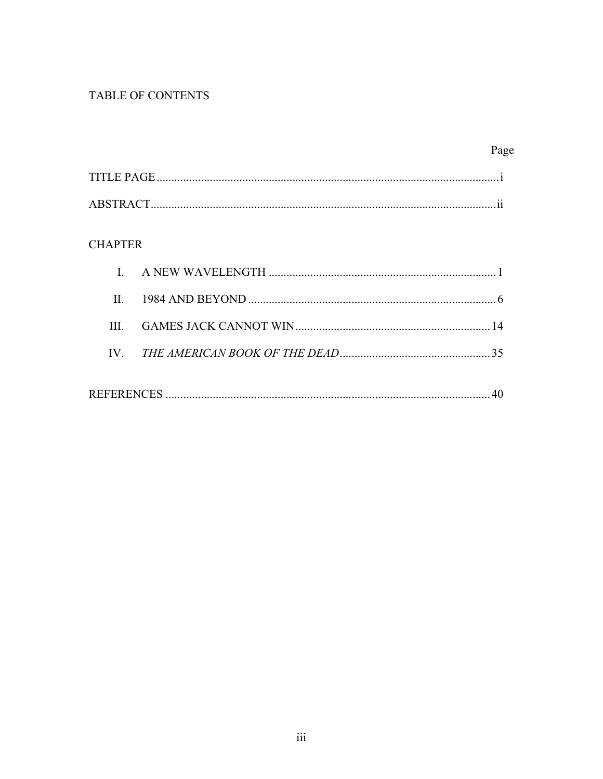# TABLE OF CONTENTS

# Page

| <b>TITLE PAGE</b> |     |
|-------------------|-----|
|                   |     |
| ABSTRACT.         | . . |

# **CHAPTER**

| $\Pi$ |  |
|-------|--|
| Ш     |  |
|       |  |
|       |  |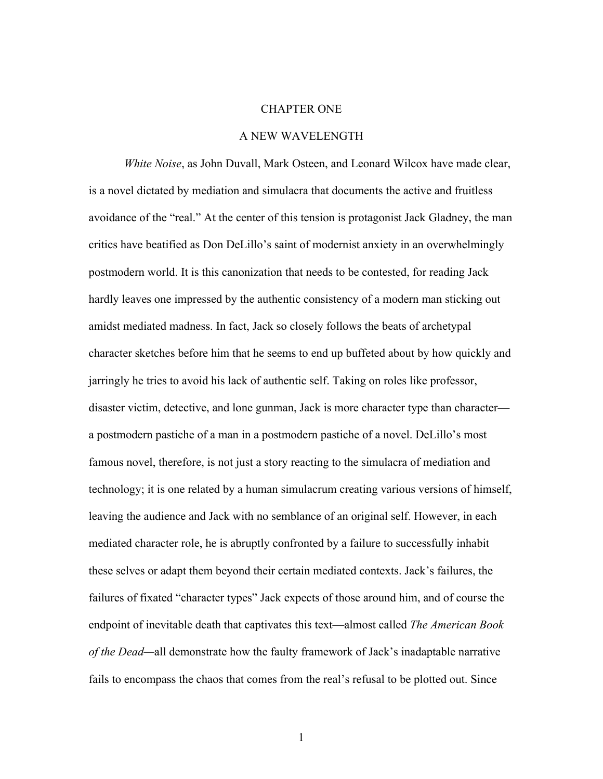# CHAPTER ONE

# A NEW WAVELENGTH

*White Noise*, as John Duvall, Mark Osteen, and Leonard Wilcox have made clear, is a novel dictated by mediation and simulacra that documents the active and fruitless avoidance of the "real." At the center of this tension is protagonist Jack Gladney, the man critics have beatified as Don DeLillo's saint of modernist anxiety in an overwhelmingly postmodern world. It is this canonization that needs to be contested, for reading Jack hardly leaves one impressed by the authentic consistency of a modern man sticking out amidst mediated madness. In fact, Jack so closely follows the beats of archetypal character sketches before him that he seems to end up buffeted about by how quickly and jarringly he tries to avoid his lack of authentic self. Taking on roles like professor, disaster victim, detective, and lone gunman, Jack is more character type than character a postmodern pastiche of a man in a postmodern pastiche of a novel. DeLillo's most famous novel, therefore, is not just a story reacting to the simulacra of mediation and technology; it is one related by a human simulacrum creating various versions of himself, leaving the audience and Jack with no semblance of an original self. However, in each mediated character role, he is abruptly confronted by a failure to successfully inhabit these selves or adapt them beyond their certain mediated contexts. Jack's failures, the failures of fixated "character types" Jack expects of those around him, and of course the endpoint of inevitable death that captivates this text—almost called *The American Book of the Dead—*all demonstrate how the faulty framework of Jack's inadaptable narrative fails to encompass the chaos that comes from the real's refusal to be plotted out. Since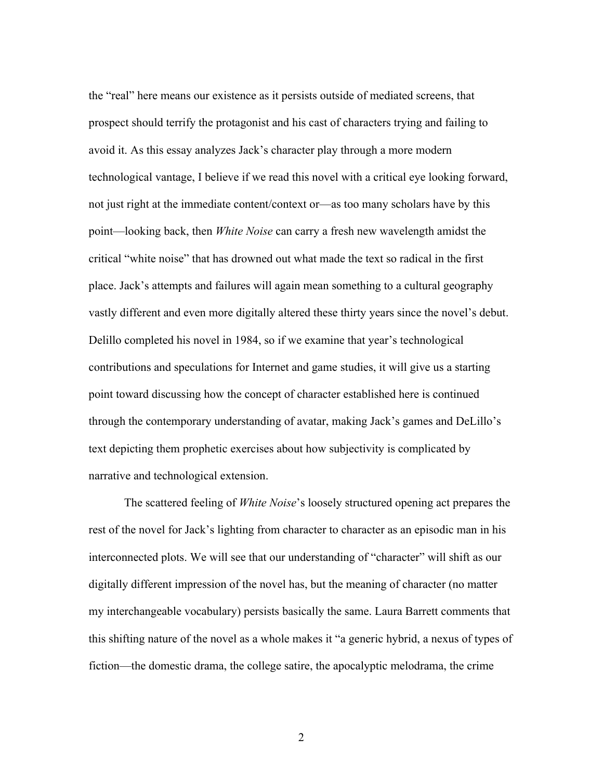the "real" here means our existence as it persists outside of mediated screens, that prospect should terrify the protagonist and his cast of characters trying and failing to avoid it. As this essay analyzes Jack's character play through a more modern technological vantage, I believe if we read this novel with a critical eye looking forward, not just right at the immediate content/context or—as too many scholars have by this point—looking back, then *White Noise* can carry a fresh new wavelength amidst the critical "white noise" that has drowned out what made the text so radical in the first place. Jack's attempts and failures will again mean something to a cultural geography vastly different and even more digitally altered these thirty years since the novel's debut. Delillo completed his novel in 1984, so if we examine that year's technological contributions and speculations for Internet and game studies, it will give us a starting point toward discussing how the concept of character established here is continued through the contemporary understanding of avatar, making Jack's games and DeLillo's text depicting them prophetic exercises about how subjectivity is complicated by narrative and technological extension.

The scattered feeling of *White Noise*'s loosely structured opening act prepares the rest of the novel for Jack's lighting from character to character as an episodic man in his interconnected plots. We will see that our understanding of "character" will shift as our digitally different impression of the novel has, but the meaning of character (no matter my interchangeable vocabulary) persists basically the same. Laura Barrett comments that this shifting nature of the novel as a whole makes it "a generic hybrid, a nexus of types of fiction—the domestic drama, the college satire, the apocalyptic melodrama, the crime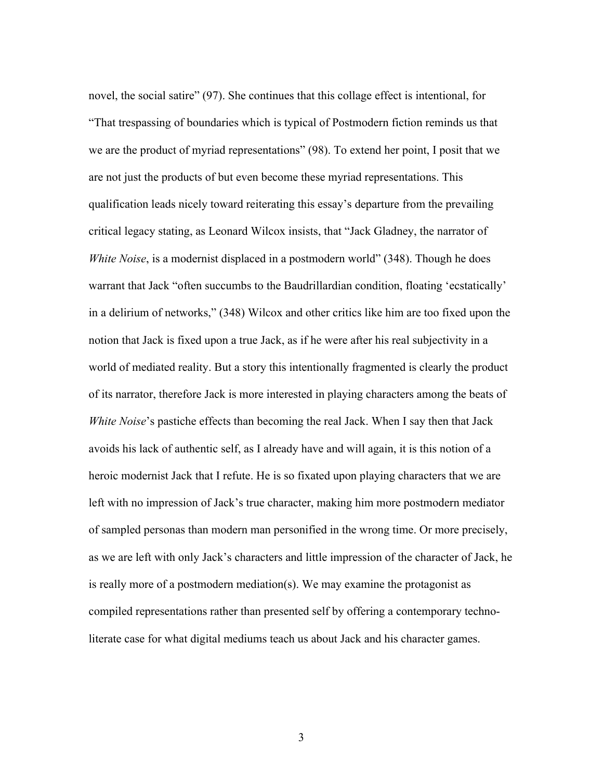novel, the social satire" (97). She continues that this collage effect is intentional, for "That trespassing of boundaries which is typical of Postmodern fiction reminds us that we are the product of myriad representations" (98). To extend her point, I posit that we are not just the products of but even become these myriad representations. This qualification leads nicely toward reiterating this essay's departure from the prevailing critical legacy stating, as Leonard Wilcox insists, that "Jack Gladney, the narrator of *White Noise*, is a modernist displaced in a postmodern world" (348). Though he does warrant that Jack "often succumbs to the Baudrillardian condition, floating 'ecstatically' in a delirium of networks," (348) Wilcox and other critics like him are too fixed upon the notion that Jack is fixed upon a true Jack, as if he were after his real subjectivity in a world of mediated reality. But a story this intentionally fragmented is clearly the product of its narrator, therefore Jack is more interested in playing characters among the beats of *White Noise*'s pastiche effects than becoming the real Jack. When I say then that Jack avoids his lack of authentic self, as I already have and will again, it is this notion of a heroic modernist Jack that I refute. He is so fixated upon playing characters that we are left with no impression of Jack's true character, making him more postmodern mediator of sampled personas than modern man personified in the wrong time. Or more precisely, as we are left with only Jack's characters and little impression of the character of Jack, he is really more of a postmodern mediation(s). We may examine the protagonist as compiled representations rather than presented self by offering a contemporary technoliterate case for what digital mediums teach us about Jack and his character games.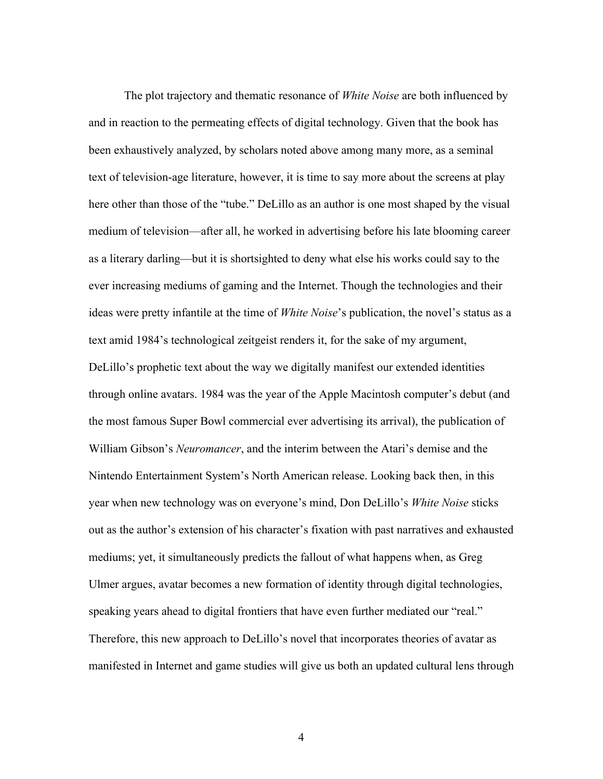The plot trajectory and thematic resonance of *White Noise* are both influenced by and in reaction to the permeating effects of digital technology. Given that the book has been exhaustively analyzed, by scholars noted above among many more, as a seminal text of television-age literature, however, it is time to say more about the screens at play here other than those of the "tube." DeLillo as an author is one most shaped by the visual medium of television—after all, he worked in advertising before his late blooming career as a literary darling—but it is shortsighted to deny what else his works could say to the ever increasing mediums of gaming and the Internet. Though the technologies and their ideas were pretty infantile at the time of *White Noise*'s publication, the novel's status as a text amid 1984's technological zeitgeist renders it, for the sake of my argument, DeLillo's prophetic text about the way we digitally manifest our extended identities through online avatars. 1984 was the year of the Apple Macintosh computer's debut (and the most famous Super Bowl commercial ever advertising its arrival), the publication of William Gibson's *Neuromancer*, and the interim between the Atari's demise and the Nintendo Entertainment System's North American release. Looking back then, in this year when new technology was on everyone's mind, Don DeLillo's *White Noise* sticks out as the author's extension of his character's fixation with past narratives and exhausted mediums; yet, it simultaneously predicts the fallout of what happens when, as Greg Ulmer argues, avatar becomes a new formation of identity through digital technologies, speaking years ahead to digital frontiers that have even further mediated our "real." Therefore, this new approach to DeLillo's novel that incorporates theories of avatar as manifested in Internet and game studies will give us both an updated cultural lens through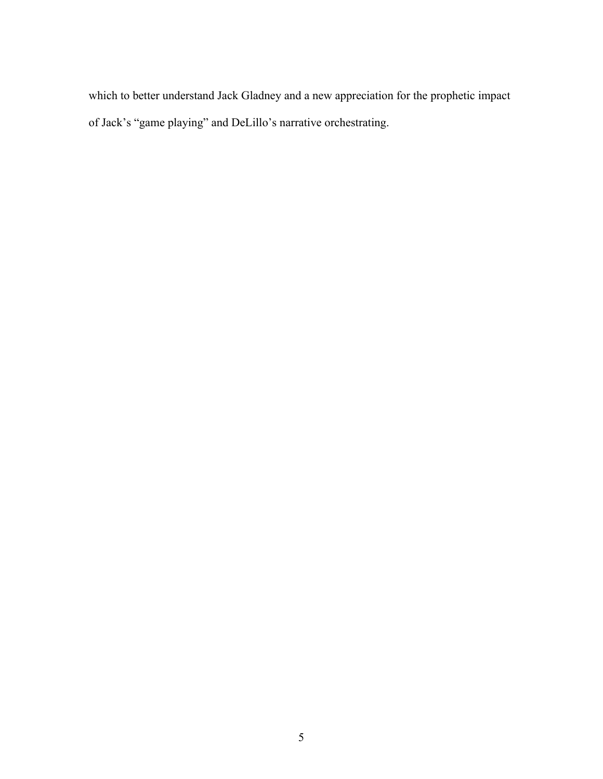which to better understand Jack Gladney and a new appreciation for the prophetic impact of Jack's "game playing" and DeLillo's narrative orchestrating.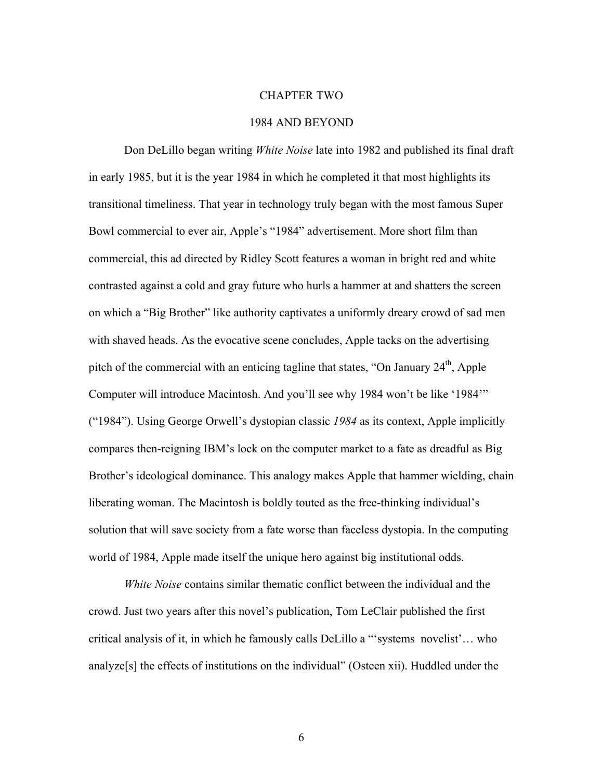#### CHAPTER TWO

# 1984 AND BEYOND

Don DeLillo began writing *White Noise* late into 1982 and published its final draft in early 1985, but it is the year 1984 in which he completed it that most highlights its transitional timeliness. That year in technology truly began with the most famous Super Bowl commercial to ever air, Apple's "1984" advertisement. More short film than commercial, this ad directed by Ridley Scott features a woman in bright red and white contrasted against a cold and gray future who hurls a hammer at and shatters the screen on which a "Big Brother" like authority captivates a uniformly dreary crowd of sad men with shaved heads. As the evocative scene concludes, Apple tacks on the advertising pitch of the commercial with an enticing tagline that states, "On January  $24<sup>th</sup>$ , Apple Computer will introduce Macintosh. And you'll see why 1984 won't be like '1984'" ("1984"). Using George Orwell's dystopian classic *1984* as its context, Apple implicitly compares then-reigning IBM's lock on the computer market to a fate as dreadful as Big Brother's ideological dominance. This analogy makes Apple that hammer wielding, chain liberating woman. The Macintosh is boldly touted as the free-thinking individual's solution that will save society from a fate worse than faceless dystopia. In the computing world of 1984, Apple made itself the unique hero against big institutional odds.

*White Noise* contains similar thematic conflict between the individual and the crowd. Just two years after this novel's publication, Tom LeClair published the first critical analysis of it, in which he famously calls DeLillo a "'systems novelist'… who analyze[s] the effects of institutions on the individual" (Osteen xii). Huddled under the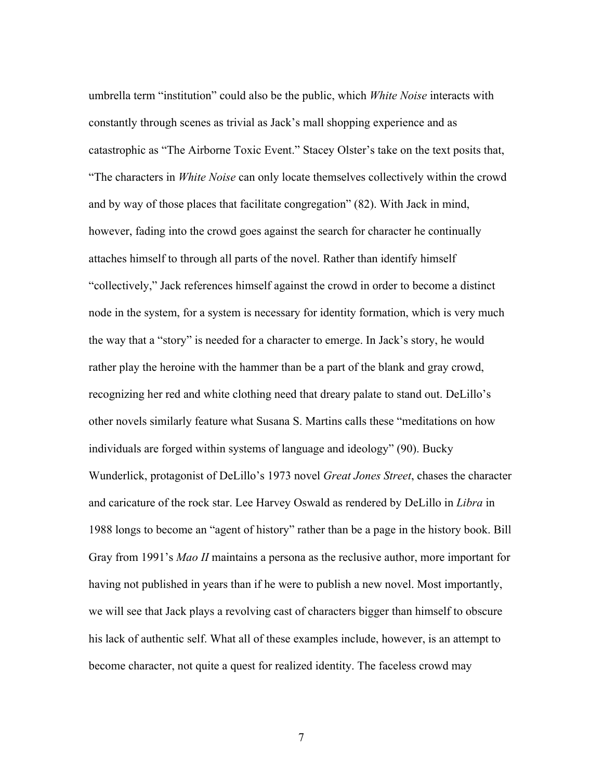umbrella term "institution" could also be the public, which *White Noise* interacts with constantly through scenes as trivial as Jack's mall shopping experience and as catastrophic as "The Airborne Toxic Event." Stacey Olster's take on the text posits that, "The characters in *White Noise* can only locate themselves collectively within the crowd and by way of those places that facilitate congregation" (82). With Jack in mind, however, fading into the crowd goes against the search for character he continually attaches himself to through all parts of the novel. Rather than identify himself "collectively," Jack references himself against the crowd in order to become a distinct node in the system, for a system is necessary for identity formation, which is very much the way that a "story" is needed for a character to emerge. In Jack's story, he would rather play the heroine with the hammer than be a part of the blank and gray crowd, recognizing her red and white clothing need that dreary palate to stand out. DeLillo's other novels similarly feature what Susana S. Martins calls these "meditations on how individuals are forged within systems of language and ideology" (90). Bucky Wunderlick, protagonist of DeLillo's 1973 novel *Great Jones Street*, chases the character and caricature of the rock star. Lee Harvey Oswald as rendered by DeLillo in *Libra* in 1988 longs to become an "agent of history" rather than be a page in the history book. Bill Gray from 1991's *Mao II* maintains a persona as the reclusive author, more important for having not published in years than if he were to publish a new novel. Most importantly, we will see that Jack plays a revolving cast of characters bigger than himself to obscure his lack of authentic self. What all of these examples include, however, is an attempt to become character, not quite a quest for realized identity. The faceless crowd may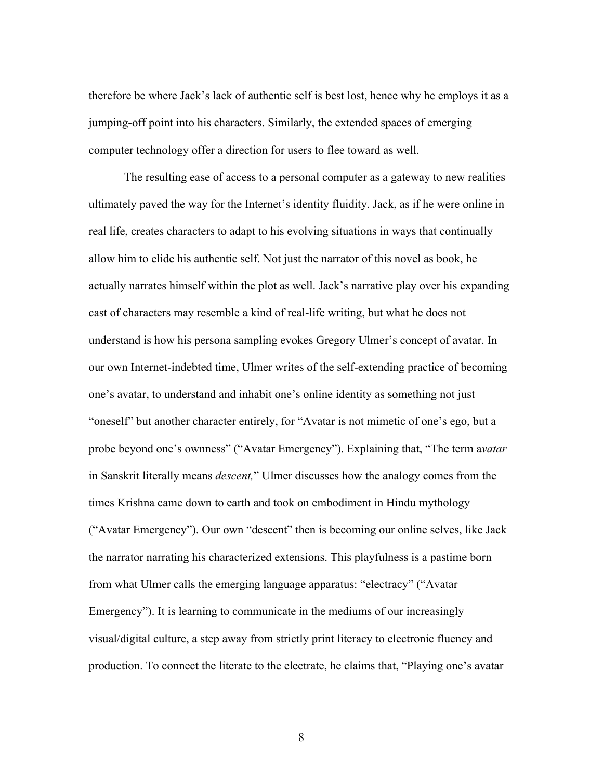therefore be where Jack's lack of authentic self is best lost, hence why he employs it as a jumping-off point into his characters. Similarly, the extended spaces of emerging computer technology offer a direction for users to flee toward as well.

The resulting ease of access to a personal computer as a gateway to new realities ultimately paved the way for the Internet's identity fluidity. Jack, as if he were online in real life, creates characters to adapt to his evolving situations in ways that continually allow him to elide his authentic self. Not just the narrator of this novel as book, he actually narrates himself within the plot as well. Jack's narrative play over his expanding cast of characters may resemble a kind of real-life writing, but what he does not understand is how his persona sampling evokes Gregory Ulmer's concept of avatar. In our own Internet-indebted time, Ulmer writes of the self-extending practice of becoming one's avatar, to understand and inhabit one's online identity as something not just "oneself" but another character entirely, for "Avatar is not mimetic of one's ego, but a probe beyond one's ownness" ("Avatar Emergency"). Explaining that, "The term a*vatar*  in Sanskrit literally means *descent,*" Ulmer discusses how the analogy comes from the times Krishna came down to earth and took on embodiment in Hindu mythology ("Avatar Emergency"). Our own "descent" then is becoming our online selves, like Jack the narrator narrating his characterized extensions. This playfulness is a pastime born from what Ulmer calls the emerging language apparatus: "electracy" ("Avatar Emergency"). It is learning to communicate in the mediums of our increasingly visual/digital culture, a step away from strictly print literacy to electronic fluency and production. To connect the literate to the electrate, he claims that, "Playing one's avatar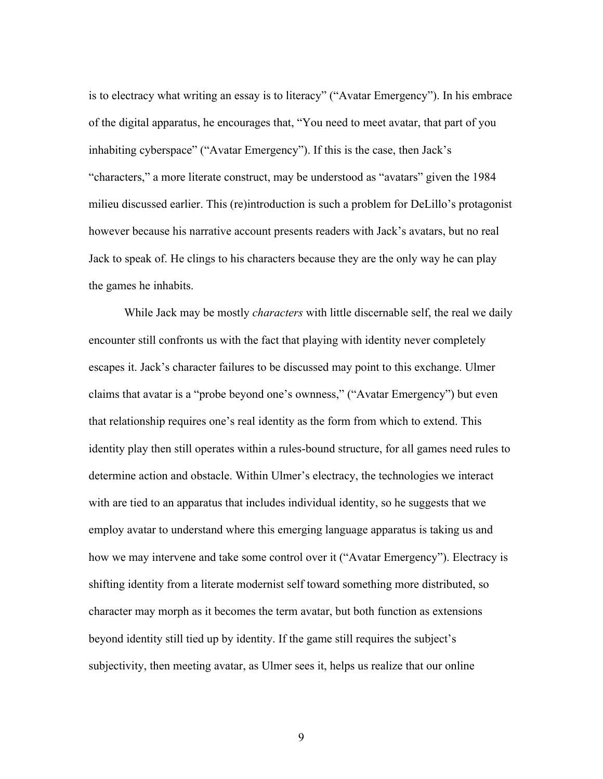is to electracy what writing an essay is to literacy" ("Avatar Emergency"). In his embrace of the digital apparatus, he encourages that, "You need to meet avatar, that part of you inhabiting cyberspace" ("Avatar Emergency"). If this is the case, then Jack's "characters," a more literate construct, may be understood as "avatars" given the 1984 milieu discussed earlier. This (re)introduction is such a problem for DeLillo's protagonist however because his narrative account presents readers with Jack's avatars, but no real Jack to speak of. He clings to his characters because they are the only way he can play the games he inhabits.

While Jack may be mostly *characters* with little discernable self, the real we daily encounter still confronts us with the fact that playing with identity never completely escapes it. Jack's character failures to be discussed may point to this exchange. Ulmer claims that avatar is a "probe beyond one's ownness," ("Avatar Emergency") but even that relationship requires one's real identity as the form from which to extend. This identity play then still operates within a rules-bound structure, for all games need rules to determine action and obstacle. Within Ulmer's electracy, the technologies we interact with are tied to an apparatus that includes individual identity, so he suggests that we employ avatar to understand where this emerging language apparatus is taking us and how we may intervene and take some control over it ("Avatar Emergency"). Electracy is shifting identity from a literate modernist self toward something more distributed, so character may morph as it becomes the term avatar, but both function as extensions beyond identity still tied up by identity. If the game still requires the subject's subjectivity, then meeting avatar, as Ulmer sees it, helps us realize that our online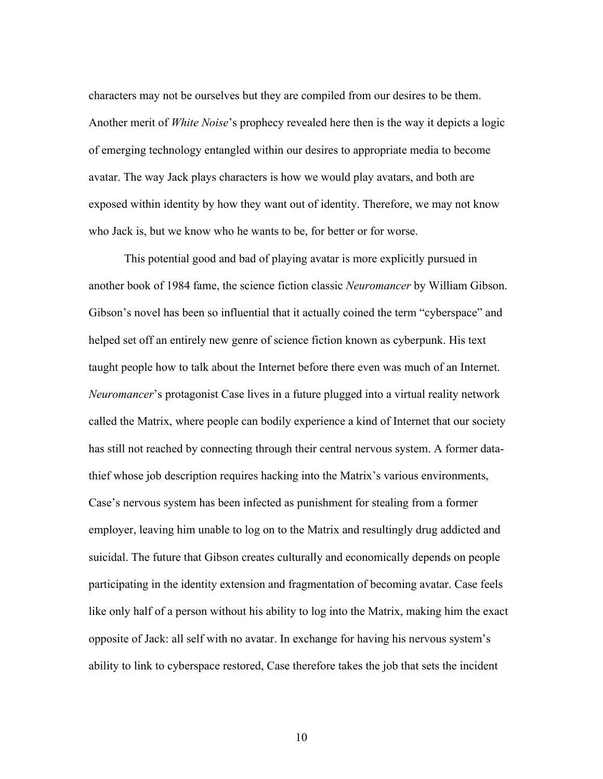characters may not be ourselves but they are compiled from our desires to be them. Another merit of *White Noise*'s prophecy revealed here then is the way it depicts a logic of emerging technology entangled within our desires to appropriate media to become avatar. The way Jack plays characters is how we would play avatars, and both are exposed within identity by how they want out of identity. Therefore, we may not know who Jack is, but we know who he wants to be, for better or for worse.

This potential good and bad of playing avatar is more explicitly pursued in another book of 1984 fame, the science fiction classic *Neuromancer* by William Gibson. Gibson's novel has been so influential that it actually coined the term "cyberspace" and helped set off an entirely new genre of science fiction known as cyberpunk. His text taught people how to talk about the Internet before there even was much of an Internet. *Neuromancer*'s protagonist Case lives in a future plugged into a virtual reality network called the Matrix, where people can bodily experience a kind of Internet that our society has still not reached by connecting through their central nervous system. A former datathief whose job description requires hacking into the Matrix's various environments, Case's nervous system has been infected as punishment for stealing from a former employer, leaving him unable to log on to the Matrix and resultingly drug addicted and suicidal. The future that Gibson creates culturally and economically depends on people participating in the identity extension and fragmentation of becoming avatar. Case feels like only half of a person without his ability to log into the Matrix, making him the exact opposite of Jack: all self with no avatar. In exchange for having his nervous system's ability to link to cyberspace restored, Case therefore takes the job that sets the incident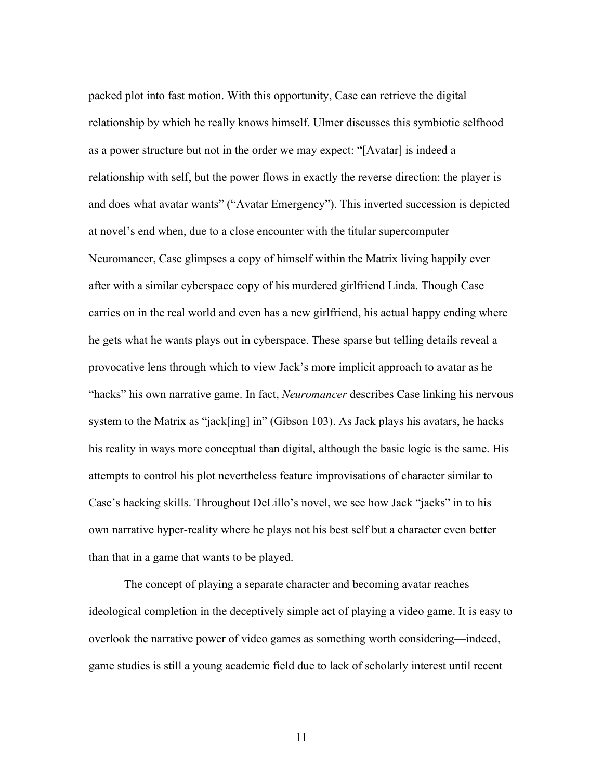packed plot into fast motion. With this opportunity, Case can retrieve the digital relationship by which he really knows himself. Ulmer discusses this symbiotic selfhood as a power structure but not in the order we may expect: "[Avatar] is indeed a relationship with self, but the power flows in exactly the reverse direction: the player is and does what avatar wants" ("Avatar Emergency"). This inverted succession is depicted at novel's end when, due to a close encounter with the titular supercomputer Neuromancer, Case glimpses a copy of himself within the Matrix living happily ever after with a similar cyberspace copy of his murdered girlfriend Linda. Though Case carries on in the real world and even has a new girlfriend, his actual happy ending where he gets what he wants plays out in cyberspace. These sparse but telling details reveal a provocative lens through which to view Jack's more implicit approach to avatar as he "hacks" his own narrative game. In fact, *Neuromancer* describes Case linking his nervous system to the Matrix as "jack[ing] in" (Gibson 103). As Jack plays his avatars, he hacks his reality in ways more conceptual than digital, although the basic logic is the same. His attempts to control his plot nevertheless feature improvisations of character similar to Case's hacking skills. Throughout DeLillo's novel, we see how Jack "jacks" in to his own narrative hyper-reality where he plays not his best self but a character even better than that in a game that wants to be played.

The concept of playing a separate character and becoming avatar reaches ideological completion in the deceptively simple act of playing a video game. It is easy to overlook the narrative power of video games as something worth considering—indeed, game studies is still a young academic field due to lack of scholarly interest until recent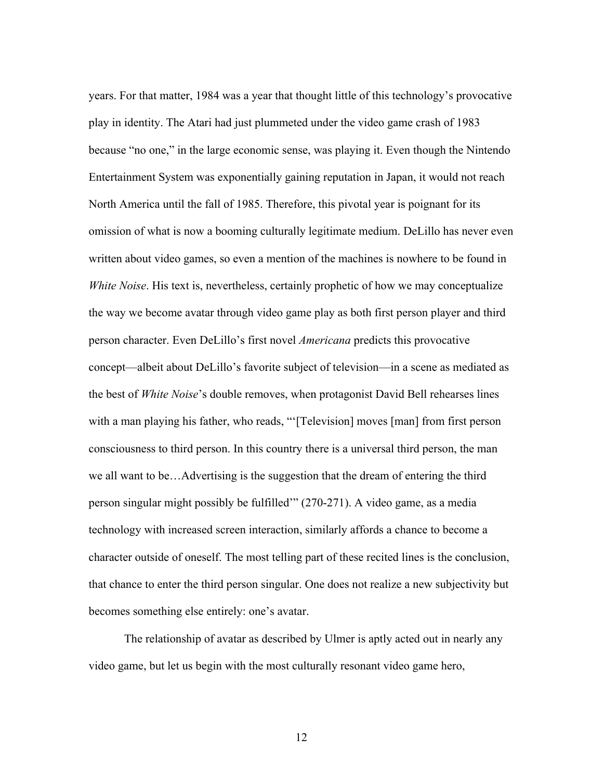years. For that matter, 1984 was a year that thought little of this technology's provocative play in identity. The Atari had just plummeted under the video game crash of 1983 because "no one," in the large economic sense, was playing it. Even though the Nintendo Entertainment System was exponentially gaining reputation in Japan, it would not reach North America until the fall of 1985. Therefore, this pivotal year is poignant for its omission of what is now a booming culturally legitimate medium. DeLillo has never even written about video games, so even a mention of the machines is nowhere to be found in *White Noise*. His text is, nevertheless, certainly prophetic of how we may conceptualize the way we become avatar through video game play as both first person player and third person character. Even DeLillo's first novel *Americana* predicts this provocative concept—albeit about DeLillo's favorite subject of television—in a scene as mediated as the best of *White Noise*'s double removes, when protagonist David Bell rehearses lines with a man playing his father, who reads, "'[Television] moves [man] from first person consciousness to third person. In this country there is a universal third person, the man we all want to be…Advertising is the suggestion that the dream of entering the third person singular might possibly be fulfilled'" (270-271). A video game, as a media technology with increased screen interaction, similarly affords a chance to become a character outside of oneself. The most telling part of these recited lines is the conclusion, that chance to enter the third person singular. One does not realize a new subjectivity but becomes something else entirely: one's avatar.

The relationship of avatar as described by Ulmer is aptly acted out in nearly any video game, but let us begin with the most culturally resonant video game hero,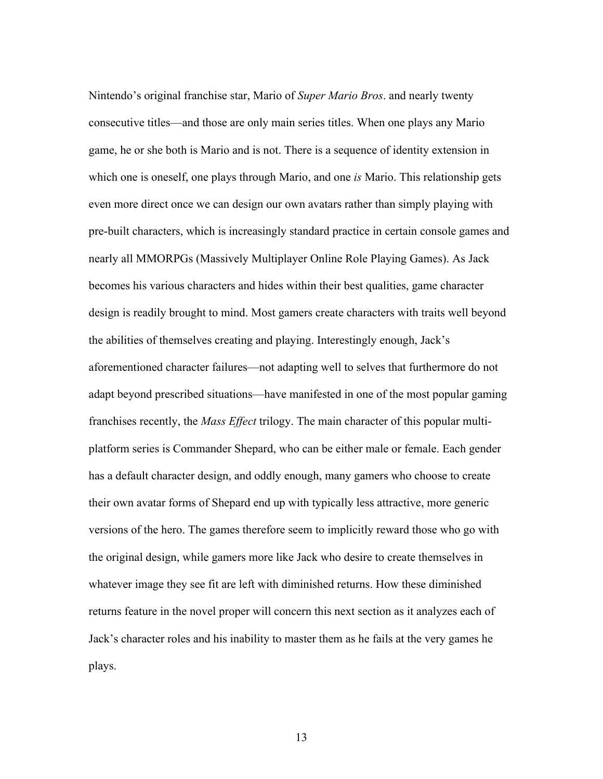Nintendo's original franchise star, Mario of *Super Mario Bros*. and nearly twenty consecutive titles—and those are only main series titles. When one plays any Mario game, he or she both is Mario and is not. There is a sequence of identity extension in which one is oneself, one plays through Mario, and one *is* Mario. This relationship gets even more direct once we can design our own avatars rather than simply playing with pre-built characters, which is increasingly standard practice in certain console games and nearly all MMORPGs (Massively Multiplayer Online Role Playing Games). As Jack becomes his various characters and hides within their best qualities, game character design is readily brought to mind. Most gamers create characters with traits well beyond the abilities of themselves creating and playing. Interestingly enough, Jack's aforementioned character failures—not adapting well to selves that furthermore do not adapt beyond prescribed situations—have manifested in one of the most popular gaming franchises recently, the *Mass Effect* trilogy. The main character of this popular multiplatform series is Commander Shepard, who can be either male or female. Each gender has a default character design, and oddly enough, many gamers who choose to create their own avatar forms of Shepard end up with typically less attractive, more generic versions of the hero. The games therefore seem to implicitly reward those who go with the original design, while gamers more like Jack who desire to create themselves in whatever image they see fit are left with diminished returns. How these diminished returns feature in the novel proper will concern this next section as it analyzes each of Jack's character roles and his inability to master them as he fails at the very games he plays.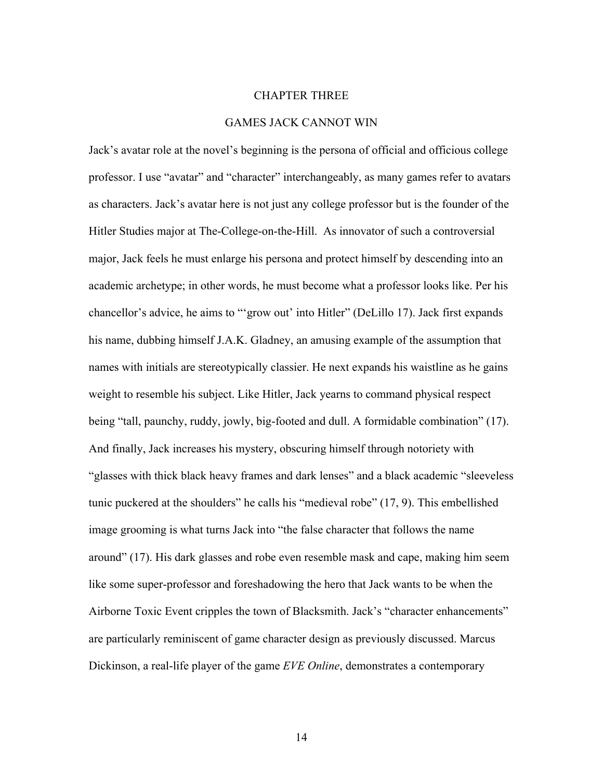## CHAPTER THREE

# GAMES JACK CANNOT WIN

Jack's avatar role at the novel's beginning is the persona of official and officious college professor. I use "avatar" and "character" interchangeably, as many games refer to avatars as characters. Jack's avatar here is not just any college professor but is the founder of the Hitler Studies major at The-College-on-the-Hill. As innovator of such a controversial major, Jack feels he must enlarge his persona and protect himself by descending into an academic archetype; in other words, he must become what a professor looks like. Per his chancellor's advice, he aims to "'grow out' into Hitler" (DeLillo 17). Jack first expands his name, dubbing himself J.A.K. Gladney, an amusing example of the assumption that names with initials are stereotypically classier. He next expands his waistline as he gains weight to resemble his subject. Like Hitler, Jack yearns to command physical respect being "tall, paunchy, ruddy, jowly, big-footed and dull. A formidable combination" (17). And finally, Jack increases his mystery, obscuring himself through notoriety with "glasses with thick black heavy frames and dark lenses" and a black academic "sleeveless tunic puckered at the shoulders" he calls his "medieval robe" (17, 9). This embellished image grooming is what turns Jack into "the false character that follows the name around" (17). His dark glasses and robe even resemble mask and cape, making him seem like some super-professor and foreshadowing the hero that Jack wants to be when the Airborne Toxic Event cripples the town of Blacksmith. Jack's "character enhancements" are particularly reminiscent of game character design as previously discussed. Marcus Dickinson, a real-life player of the game *EVE Online*, demonstrates a contemporary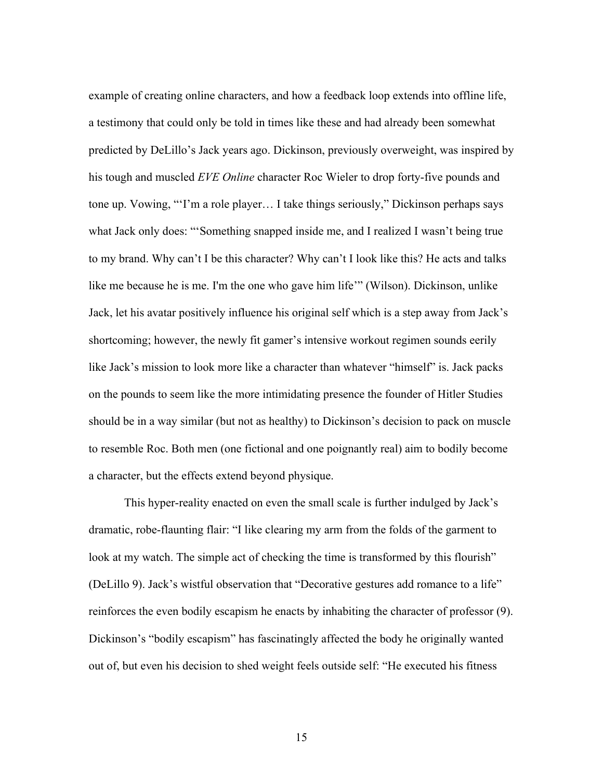example of creating online characters, and how a feedback loop extends into offline life, a testimony that could only be told in times like these and had already been somewhat predicted by DeLillo's Jack years ago. Dickinson, previously overweight, was inspired by his tough and muscled *EVE Online* character Roc Wieler to drop forty-five pounds and tone up. Vowing, "'I'm a role player… I take things seriously," Dickinson perhaps says what Jack only does: "'Something snapped inside me, and I realized I wasn't being true to my brand. Why can't I be this character? Why can't I look like this? He acts and talks like me because he is me. I'm the one who gave him life'" (Wilson). Dickinson, unlike Jack, let his avatar positively influence his original self which is a step away from Jack's shortcoming; however, the newly fit gamer's intensive workout regimen sounds eerily like Jack's mission to look more like a character than whatever "himself" is. Jack packs on the pounds to seem like the more intimidating presence the founder of Hitler Studies should be in a way similar (but not as healthy) to Dickinson's decision to pack on muscle to resemble Roc. Both men (one fictional and one poignantly real) aim to bodily become a character, but the effects extend beyond physique.

This hyper-reality enacted on even the small scale is further indulged by Jack's dramatic, robe-flaunting flair: "I like clearing my arm from the folds of the garment to look at my watch. The simple act of checking the time is transformed by this flourish" (DeLillo 9). Jack's wistful observation that "Decorative gestures add romance to a life" reinforces the even bodily escapism he enacts by inhabiting the character of professor (9). Dickinson's "bodily escapism" has fascinatingly affected the body he originally wanted out of, but even his decision to shed weight feels outside self: "He executed his fitness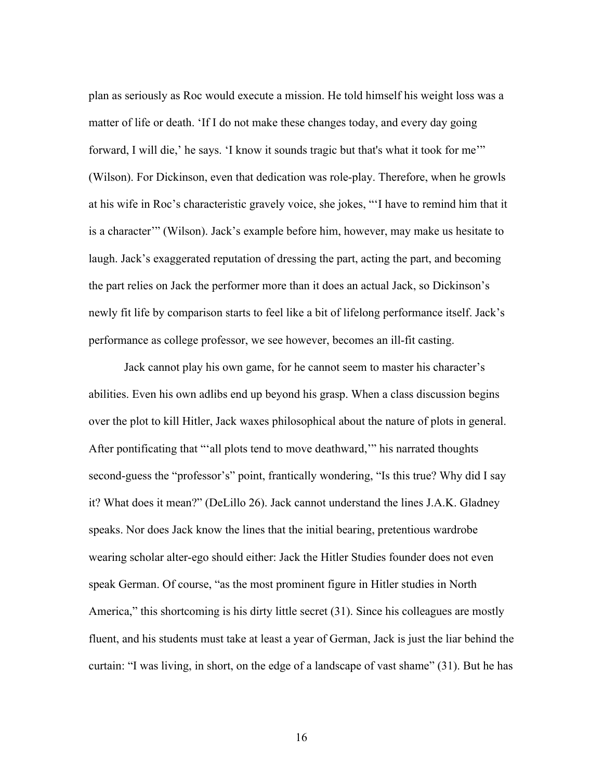plan as seriously as Roc would execute a mission. He told himself his weight loss was a matter of life or death. 'If I do not make these changes today, and every day going forward, I will die,' he says. 'I know it sounds tragic but that's what it took for me'" (Wilson). For Dickinson, even that dedication was role-play. Therefore, when he growls at his wife in Roc's characteristic gravely voice, she jokes, "'I have to remind him that it is a character'" (Wilson). Jack's example before him, however, may make us hesitate to laugh. Jack's exaggerated reputation of dressing the part, acting the part, and becoming the part relies on Jack the performer more than it does an actual Jack, so Dickinson's newly fit life by comparison starts to feel like a bit of lifelong performance itself. Jack's performance as college professor, we see however, becomes an ill-fit casting.

Jack cannot play his own game, for he cannot seem to master his character's abilities. Even his own adlibs end up beyond his grasp. When a class discussion begins over the plot to kill Hitler, Jack waxes philosophical about the nature of plots in general. After pontificating that "'all plots tend to move deathward,'" his narrated thoughts second-guess the "professor's" point, frantically wondering, "Is this true? Why did I say it? What does it mean?" (DeLillo 26). Jack cannot understand the lines J.A.K. Gladney speaks. Nor does Jack know the lines that the initial bearing, pretentious wardrobe wearing scholar alter-ego should either: Jack the Hitler Studies founder does not even speak German. Of course, "as the most prominent figure in Hitler studies in North America," this shortcoming is his dirty little secret (31). Since his colleagues are mostly fluent, and his students must take at least a year of German, Jack is just the liar behind the curtain: "I was living, in short, on the edge of a landscape of vast shame" (31). But he has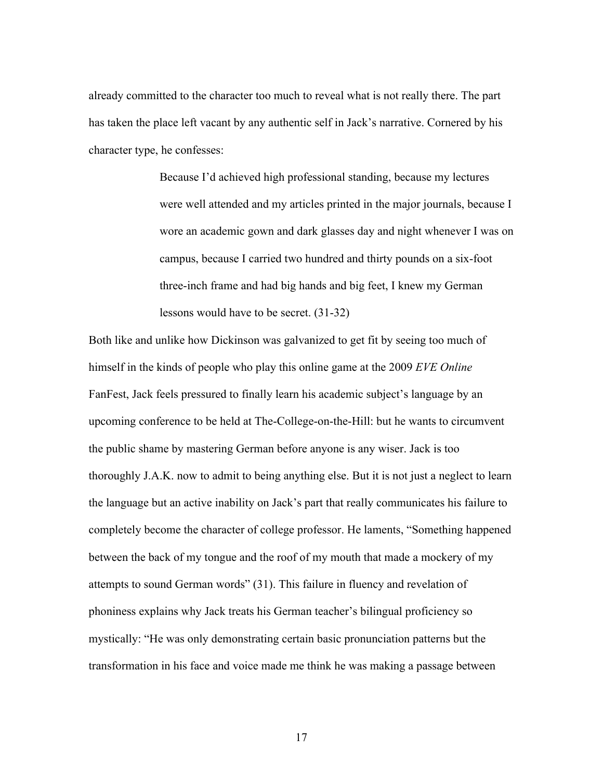already committed to the character too much to reveal what is not really there. The part has taken the place left vacant by any authentic self in Jack's narrative. Cornered by his character type, he confesses:

> Because I'd achieved high professional standing, because my lectures were well attended and my articles printed in the major journals, because I wore an academic gown and dark glasses day and night whenever I was on campus, because I carried two hundred and thirty pounds on a six-foot three-inch frame and had big hands and big feet, I knew my German lessons would have to be secret. (31-32)

Both like and unlike how Dickinson was galvanized to get fit by seeing too much of himself in the kinds of people who play this online game at the 2009 *EVE Online*  FanFest, Jack feels pressured to finally learn his academic subject's language by an upcoming conference to be held at The-College-on-the-Hill: but he wants to circumvent the public shame by mastering German before anyone is any wiser. Jack is too thoroughly J.A.K. now to admit to being anything else. But it is not just a neglect to learn the language but an active inability on Jack's part that really communicates his failure to completely become the character of college professor. He laments, "Something happened between the back of my tongue and the roof of my mouth that made a mockery of my attempts to sound German words" (31). This failure in fluency and revelation of phoniness explains why Jack treats his German teacher's bilingual proficiency so mystically: "He was only demonstrating certain basic pronunciation patterns but the transformation in his face and voice made me think he was making a passage between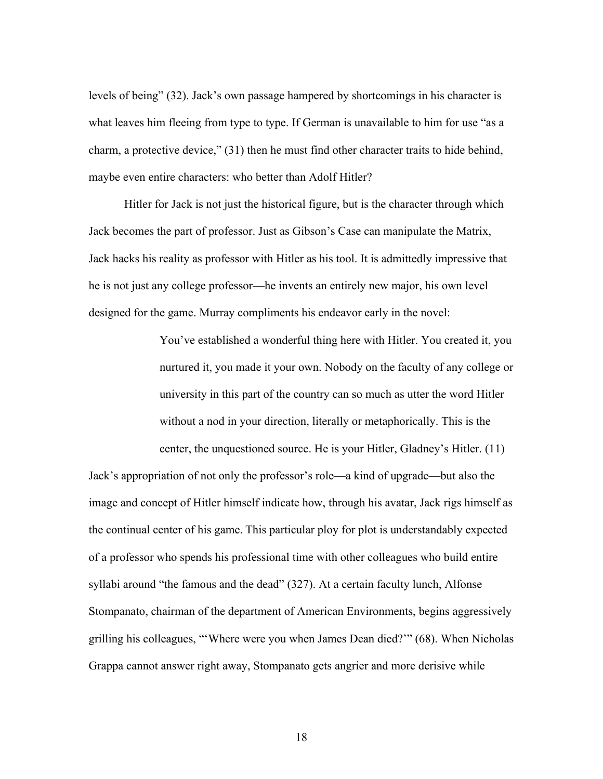levels of being" (32). Jack's own passage hampered by shortcomings in his character is what leaves him fleeing from type to type. If German is unavailable to him for use "as a charm, a protective device," (31) then he must find other character traits to hide behind, maybe even entire characters: who better than Adolf Hitler?

Hitler for Jack is not just the historical figure, but is the character through which Jack becomes the part of professor. Just as Gibson's Case can manipulate the Matrix, Jack hacks his reality as professor with Hitler as his tool. It is admittedly impressive that he is not just any college professor—he invents an entirely new major, his own level designed for the game. Murray compliments his endeavor early in the novel:

> You've established a wonderful thing here with Hitler. You created it, you nurtured it, you made it your own. Nobody on the faculty of any college or university in this part of the country can so much as utter the word Hitler without a nod in your direction, literally or metaphorically. This is the center, the unquestioned source. He is your Hitler, Gladney's Hitler. (11)

Jack's appropriation of not only the professor's role—a kind of upgrade—but also the image and concept of Hitler himself indicate how, through his avatar, Jack rigs himself as the continual center of his game. This particular ploy for plot is understandably expected of a professor who spends his professional time with other colleagues who build entire syllabi around "the famous and the dead" (327). At a certain faculty lunch, Alfonse Stompanato, chairman of the department of American Environments, begins aggressively grilling his colleagues, "'Where were you when James Dean died?'" (68). When Nicholas Grappa cannot answer right away, Stompanato gets angrier and more derisive while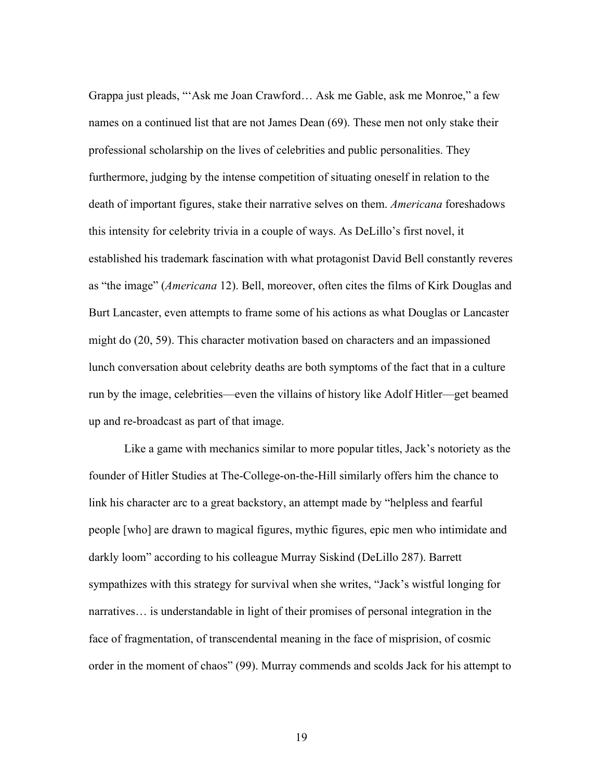Grappa just pleads, "'Ask me Joan Crawford… Ask me Gable, ask me Monroe," a few names on a continued list that are not James Dean (69). These men not only stake their professional scholarship on the lives of celebrities and public personalities. They furthermore, judging by the intense competition of situating oneself in relation to the death of important figures, stake their narrative selves on them. *Americana* foreshadows this intensity for celebrity trivia in a couple of ways. As DeLillo's first novel, it established his trademark fascination with what protagonist David Bell constantly reveres as "the image" (*Americana* 12). Bell, moreover, often cites the films of Kirk Douglas and Burt Lancaster, even attempts to frame some of his actions as what Douglas or Lancaster might do (20, 59). This character motivation based on characters and an impassioned lunch conversation about celebrity deaths are both symptoms of the fact that in a culture run by the image, celebrities—even the villains of history like Adolf Hitler—get beamed up and re-broadcast as part of that image.

Like a game with mechanics similar to more popular titles, Jack's notoriety as the founder of Hitler Studies at The-College-on-the-Hill similarly offers him the chance to link his character arc to a great backstory, an attempt made by "helpless and fearful people [who] are drawn to magical figures, mythic figures, epic men who intimidate and darkly loom" according to his colleague Murray Siskind (DeLillo 287). Barrett sympathizes with this strategy for survival when she writes, "Jack's wistful longing for narratives… is understandable in light of their promises of personal integration in the face of fragmentation, of transcendental meaning in the face of misprision, of cosmic order in the moment of chaos" (99). Murray commends and scolds Jack for his attempt to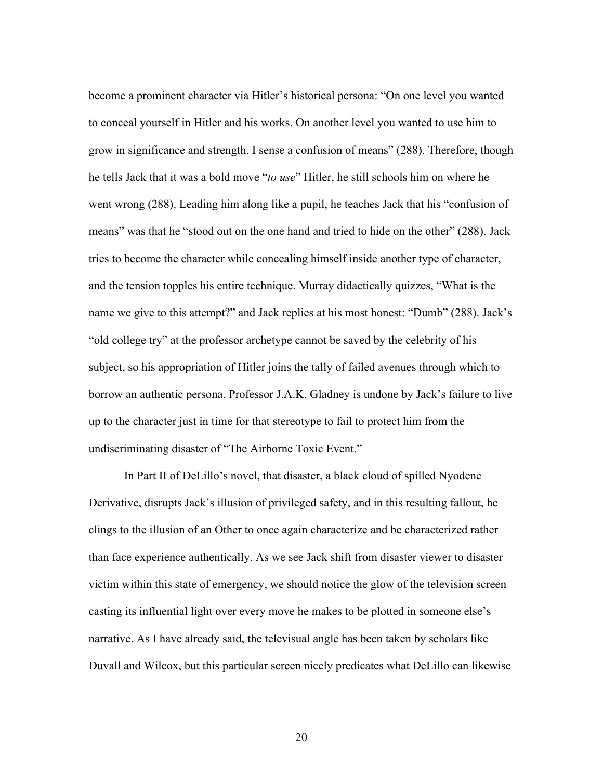become a prominent character via Hitler's historical persona: "On one level you wanted to conceal yourself in Hitler and his works. On another level you wanted to use him to grow in significance and strength. I sense a confusion of means" (288). Therefore, though he tells Jack that it was a bold move "*to use*" Hitler, he still schools him on where he went wrong (288). Leading him along like a pupil, he teaches Jack that his "confusion of means" was that he "stood out on the one hand and tried to hide on the other" (288). Jack tries to become the character while concealing himself inside another type of character, and the tension topples his entire technique. Murray didactically quizzes, "What is the name we give to this attempt?" and Jack replies at his most honest: "Dumb" (288). Jack's "old college try" at the professor archetype cannot be saved by the celebrity of his subject, so his appropriation of Hitler joins the tally of failed avenues through which to borrow an authentic persona. Professor J.A.K. Gladney is undone by Jack's failure to live up to the character just in time for that stereotype to fail to protect him from the undiscriminating disaster of "The Airborne Toxic Event."

In Part II of DeLillo's novel, that disaster, a black cloud of spilled Nyodene Derivative, disrupts Jack's illusion of privileged safety, and in this resulting fallout, he clings to the illusion of an Other to once again characterize and be characterized rather than face experience authentically. As we see Jack shift from disaster viewer to disaster victim within this state of emergency, we should notice the glow of the television screen casting its influential light over every move he makes to be plotted in someone else's narrative. As I have already said, the televisual angle has been taken by scholars like Duvall and Wilcox, but this particular screen nicely predicates what DeLillo can likewise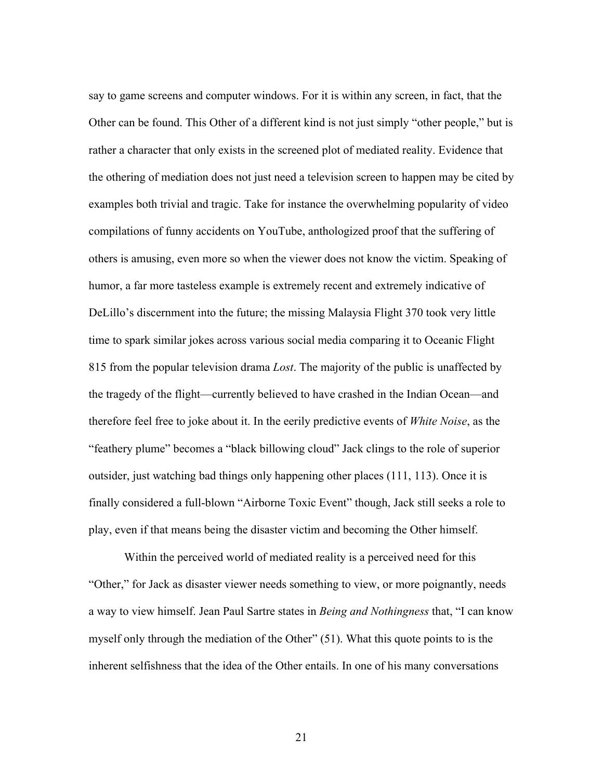say to game screens and computer windows. For it is within any screen, in fact, that the Other can be found. This Other of a different kind is not just simply "other people," but is rather a character that only exists in the screened plot of mediated reality. Evidence that the othering of mediation does not just need a television screen to happen may be cited by examples both trivial and tragic. Take for instance the overwhelming popularity of video compilations of funny accidents on YouTube, anthologized proof that the suffering of others is amusing, even more so when the viewer does not know the victim. Speaking of humor, a far more tasteless example is extremely recent and extremely indicative of DeLillo's discernment into the future; the missing Malaysia Flight 370 took very little time to spark similar jokes across various social media comparing it to Oceanic Flight 815 from the popular television drama *Lost*. The majority of the public is unaffected by the tragedy of the flight—currently believed to have crashed in the Indian Ocean—and therefore feel free to joke about it. In the eerily predictive events of *White Noise*, as the "feathery plume" becomes a "black billowing cloud" Jack clings to the role of superior outsider, just watching bad things only happening other places (111, 113). Once it is finally considered a full-blown "Airborne Toxic Event" though, Jack still seeks a role to play, even if that means being the disaster victim and becoming the Other himself.

Within the perceived world of mediated reality is a perceived need for this "Other," for Jack as disaster viewer needs something to view, or more poignantly, needs a way to view himself. Jean Paul Sartre states in *Being and Nothingness* that, "I can know myself only through the mediation of the Other" (51). What this quote points to is the inherent selfishness that the idea of the Other entails. In one of his many conversations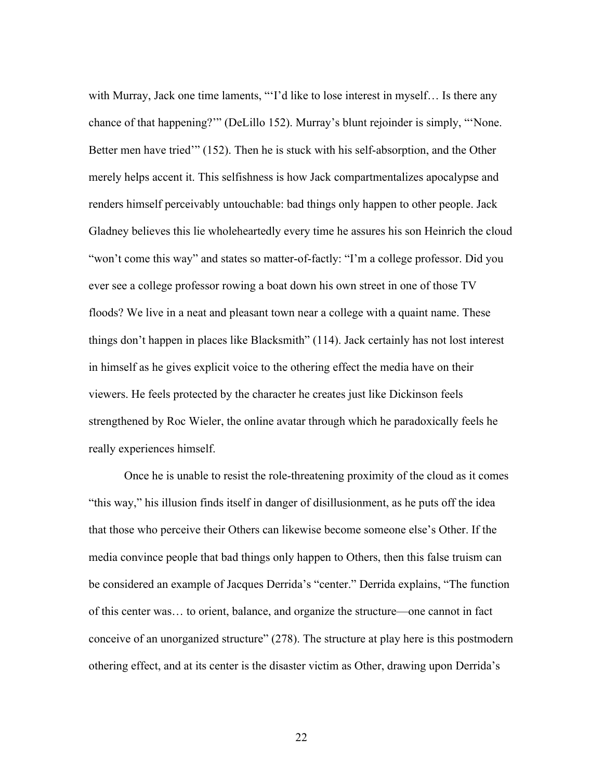with Murray, Jack one time laments, "T'd like to lose interest in myself... Is there any chance of that happening?'" (DeLillo 152). Murray's blunt rejoinder is simply, "'None. Better men have tried'" (152). Then he is stuck with his self-absorption, and the Other merely helps accent it. This selfishness is how Jack compartmentalizes apocalypse and renders himself perceivably untouchable: bad things only happen to other people. Jack Gladney believes this lie wholeheartedly every time he assures his son Heinrich the cloud "won't come this way" and states so matter-of-factly: "I'm a college professor. Did you ever see a college professor rowing a boat down his own street in one of those TV floods? We live in a neat and pleasant town near a college with a quaint name. These things don't happen in places like Blacksmith" (114). Jack certainly has not lost interest in himself as he gives explicit voice to the othering effect the media have on their viewers. He feels protected by the character he creates just like Dickinson feels strengthened by Roc Wieler, the online avatar through which he paradoxically feels he really experiences himself.

Once he is unable to resist the role-threatening proximity of the cloud as it comes "this way," his illusion finds itself in danger of disillusionment, as he puts off the idea that those who perceive their Others can likewise become someone else's Other. If the media convince people that bad things only happen to Others, then this false truism can be considered an example of Jacques Derrida's "center." Derrida explains, "The function of this center was… to orient, balance, and organize the structure—one cannot in fact conceive of an unorganized structure" (278). The structure at play here is this postmodern othering effect, and at its center is the disaster victim as Other, drawing upon Derrida's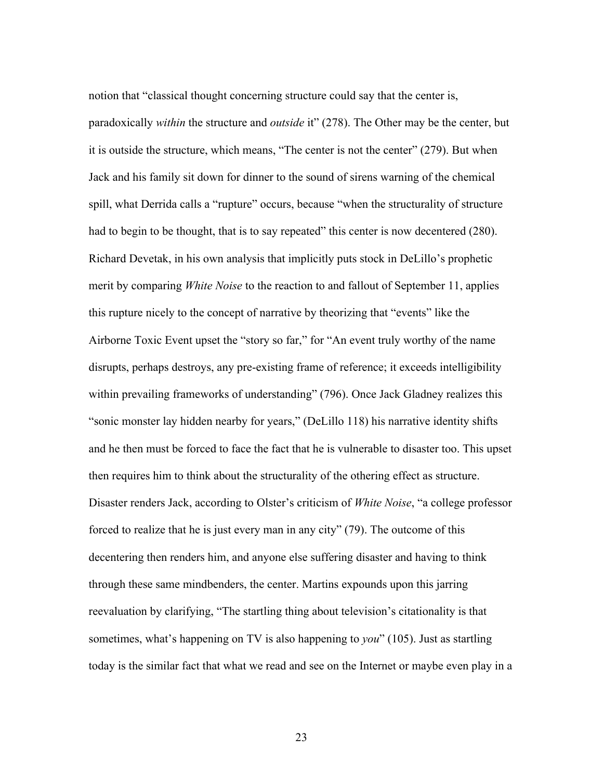notion that "classical thought concerning structure could say that the center is, paradoxically *within* the structure and *outside* it" (278). The Other may be the center, but it is outside the structure, which means, "The center is not the center" (279). But when Jack and his family sit down for dinner to the sound of sirens warning of the chemical spill, what Derrida calls a "rupture" occurs, because "when the structurality of structure had to begin to be thought, that is to say repeated" this center is now decentered (280). Richard Devetak, in his own analysis that implicitly puts stock in DeLillo's prophetic merit by comparing *White Noise* to the reaction to and fallout of September 11, applies this rupture nicely to the concept of narrative by theorizing that "events" like the Airborne Toxic Event upset the "story so far," for "An event truly worthy of the name disrupts, perhaps destroys, any pre-existing frame of reference; it exceeds intelligibility within prevailing frameworks of understanding" (796). Once Jack Gladney realizes this "sonic monster lay hidden nearby for years," (DeLillo 118) his narrative identity shifts and he then must be forced to face the fact that he is vulnerable to disaster too. This upset then requires him to think about the structurality of the othering effect as structure. Disaster renders Jack, according to Olster's criticism of *White Noise*, "a college professor forced to realize that he is just every man in any city" (79). The outcome of this decentering then renders him, and anyone else suffering disaster and having to think through these same mindbenders, the center. Martins expounds upon this jarring reevaluation by clarifying, "The startling thing about television's citationality is that sometimes, what's happening on TV is also happening to *you*" (105). Just as startling today is the similar fact that what we read and see on the Internet or maybe even play in a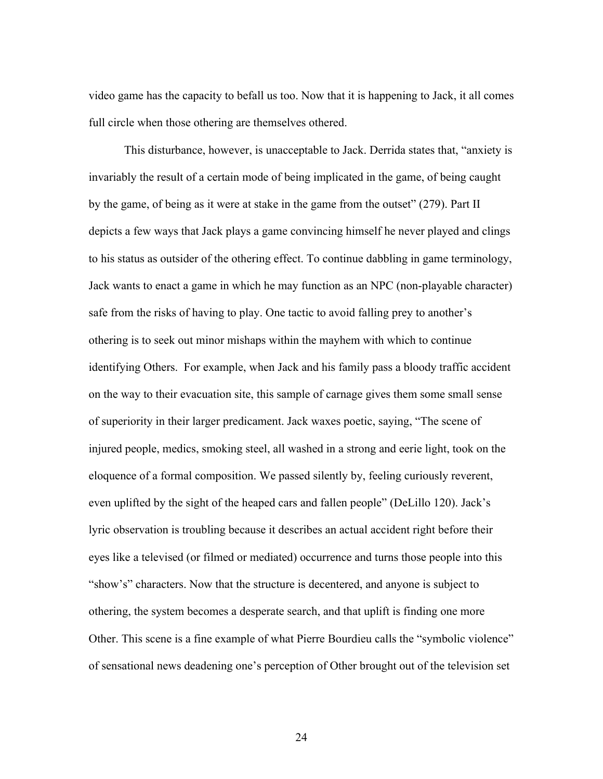video game has the capacity to befall us too. Now that it is happening to Jack, it all comes full circle when those othering are themselves othered.

This disturbance, however, is unacceptable to Jack. Derrida states that, "anxiety is invariably the result of a certain mode of being implicated in the game, of being caught by the game, of being as it were at stake in the game from the outset" (279). Part II depicts a few ways that Jack plays a game convincing himself he never played and clings to his status as outsider of the othering effect. To continue dabbling in game terminology, Jack wants to enact a game in which he may function as an NPC (non-playable character) safe from the risks of having to play. One tactic to avoid falling prey to another's othering is to seek out minor mishaps within the mayhem with which to continue identifying Others. For example, when Jack and his family pass a bloody traffic accident on the way to their evacuation site, this sample of carnage gives them some small sense of superiority in their larger predicament. Jack waxes poetic, saying, "The scene of injured people, medics, smoking steel, all washed in a strong and eerie light, took on the eloquence of a formal composition. We passed silently by, feeling curiously reverent, even uplifted by the sight of the heaped cars and fallen people" (DeLillo 120). Jack's lyric observation is troubling because it describes an actual accident right before their eyes like a televised (or filmed or mediated) occurrence and turns those people into this "show's" characters. Now that the structure is decentered, and anyone is subject to othering, the system becomes a desperate search, and that uplift is finding one more Other. This scene is a fine example of what Pierre Bourdieu calls the "symbolic violence" of sensational news deadening one's perception of Other brought out of the television set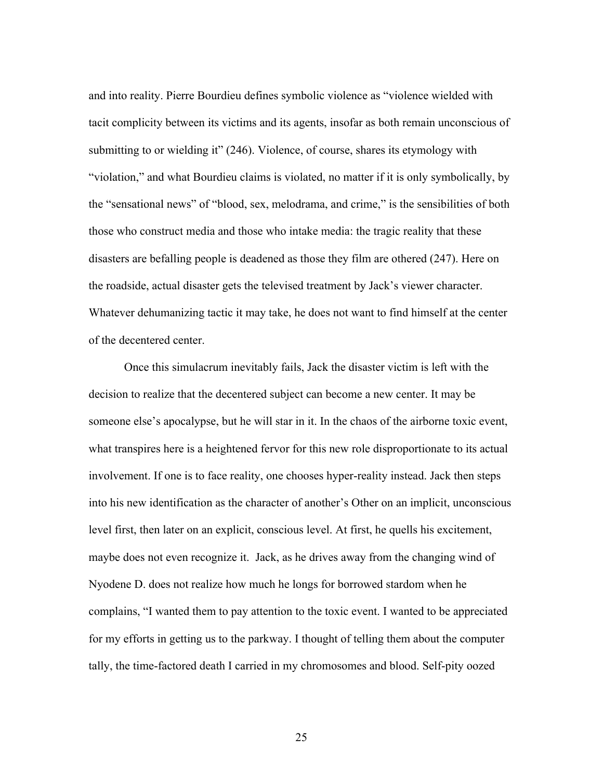and into reality. Pierre Bourdieu defines symbolic violence as "violence wielded with tacit complicity between its victims and its agents, insofar as both remain unconscious of submitting to or wielding it" (246). Violence, of course, shares its etymology with "violation," and what Bourdieu claims is violated, no matter if it is only symbolically, by the "sensational news" of "blood, sex, melodrama, and crime," is the sensibilities of both those who construct media and those who intake media: the tragic reality that these disasters are befalling people is deadened as those they film are othered (247). Here on the roadside, actual disaster gets the televised treatment by Jack's viewer character. Whatever dehumanizing tactic it may take, he does not want to find himself at the center of the decentered center.

Once this simulacrum inevitably fails, Jack the disaster victim is left with the decision to realize that the decentered subject can become a new center. It may be someone else's apocalypse, but he will star in it. In the chaos of the airborne toxic event, what transpires here is a heightened fervor for this new role disproportionate to its actual involvement. If one is to face reality, one chooses hyper-reality instead. Jack then steps into his new identification as the character of another's Other on an implicit, unconscious level first, then later on an explicit, conscious level. At first, he quells his excitement, maybe does not even recognize it. Jack, as he drives away from the changing wind of Nyodene D. does not realize how much he longs for borrowed stardom when he complains, "I wanted them to pay attention to the toxic event. I wanted to be appreciated for my efforts in getting us to the parkway. I thought of telling them about the computer tally, the time-factored death I carried in my chromosomes and blood. Self-pity oozed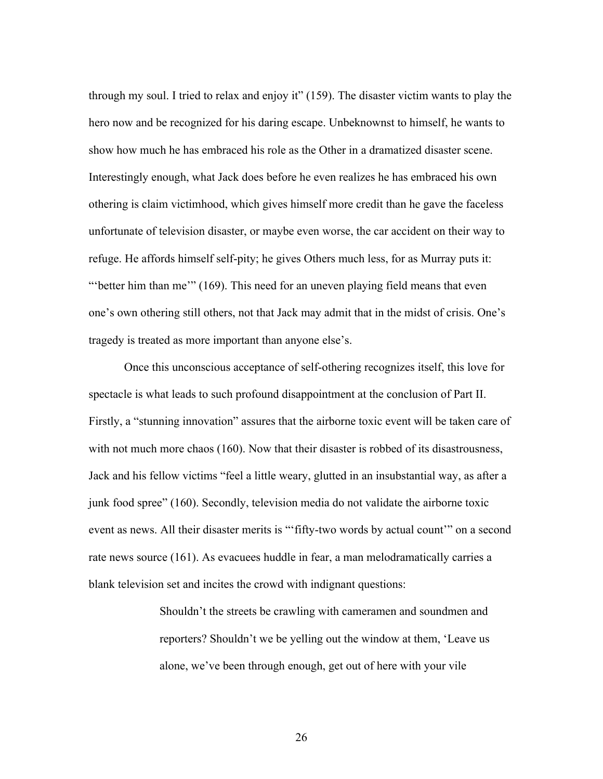through my soul. I tried to relax and enjoy it" (159). The disaster victim wants to play the hero now and be recognized for his daring escape. Unbeknownst to himself, he wants to show how much he has embraced his role as the Other in a dramatized disaster scene. Interestingly enough, what Jack does before he even realizes he has embraced his own othering is claim victimhood, which gives himself more credit than he gave the faceless unfortunate of television disaster, or maybe even worse, the car accident on their way to refuge. He affords himself self-pity; he gives Others much less, for as Murray puts it: "'better him than me'" (169). This need for an uneven playing field means that even one's own othering still others, not that Jack may admit that in the midst of crisis. One's tragedy is treated as more important than anyone else's.

Once this unconscious acceptance of self-othering recognizes itself, this love for spectacle is what leads to such profound disappointment at the conclusion of Part II. Firstly, a "stunning innovation" assures that the airborne toxic event will be taken care of with not much more chaos (160). Now that their disaster is robbed of its disastrousness, Jack and his fellow victims "feel a little weary, glutted in an insubstantial way, as after a junk food spree" (160). Secondly, television media do not validate the airborne toxic event as news. All their disaster merits is "'fifty-two words by actual count'" on a second rate news source (161). As evacuees huddle in fear, a man melodramatically carries a blank television set and incites the crowd with indignant questions:

> Shouldn't the streets be crawling with cameramen and soundmen and reporters? Shouldn't we be yelling out the window at them, 'Leave us alone, we've been through enough, get out of here with your vile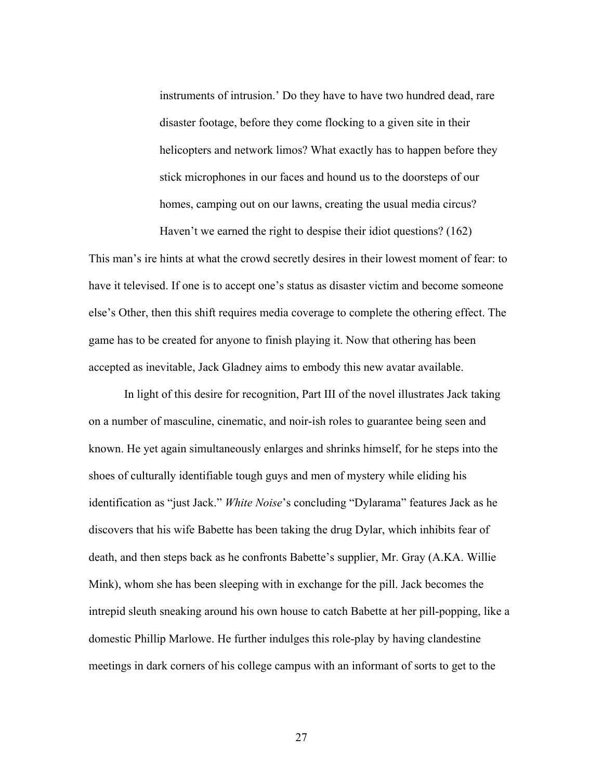instruments of intrusion.' Do they have to have two hundred dead, rare disaster footage, before they come flocking to a given site in their helicopters and network limos? What exactly has to happen before they stick microphones in our faces and hound us to the doorsteps of our homes, camping out on our lawns, creating the usual media circus?

Haven't we earned the right to despise their idiot questions? (162)

This man's ire hints at what the crowd secretly desires in their lowest moment of fear: to have it televised. If one is to accept one's status as disaster victim and become someone else's Other, then this shift requires media coverage to complete the othering effect. The game has to be created for anyone to finish playing it. Now that othering has been accepted as inevitable, Jack Gladney aims to embody this new avatar available.

In light of this desire for recognition, Part III of the novel illustrates Jack taking on a number of masculine, cinematic, and noir-ish roles to guarantee being seen and known. He yet again simultaneously enlarges and shrinks himself, for he steps into the shoes of culturally identifiable tough guys and men of mystery while eliding his identification as "just Jack." *White Noise*'s concluding "Dylarama" features Jack as he discovers that his wife Babette has been taking the drug Dylar, which inhibits fear of death, and then steps back as he confronts Babette's supplier, Mr. Gray (A.KA. Willie Mink), whom she has been sleeping with in exchange for the pill. Jack becomes the intrepid sleuth sneaking around his own house to catch Babette at her pill-popping, like a domestic Phillip Marlowe. He further indulges this role-play by having clandestine meetings in dark corners of his college campus with an informant of sorts to get to the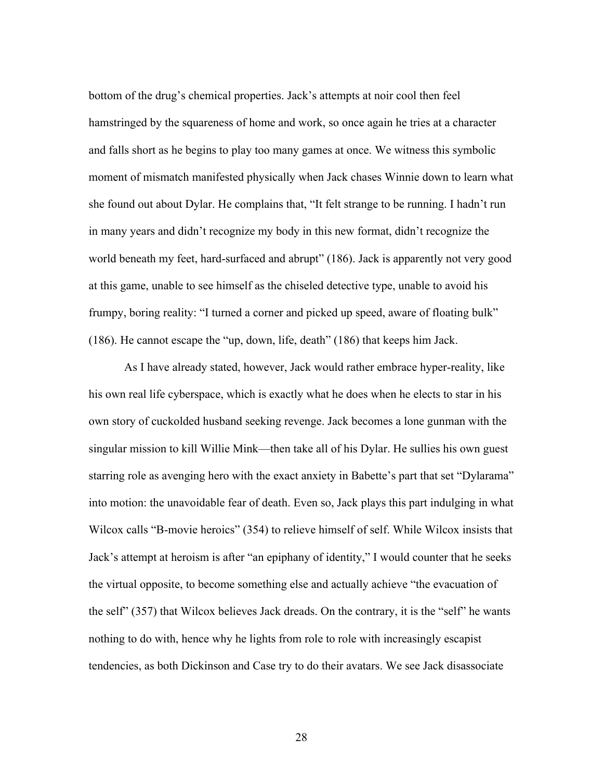bottom of the drug's chemical properties. Jack's attempts at noir cool then feel hamstringed by the squareness of home and work, so once again he tries at a character and falls short as he begins to play too many games at once. We witness this symbolic moment of mismatch manifested physically when Jack chases Winnie down to learn what she found out about Dylar. He complains that, "It felt strange to be running. I hadn't run in many years and didn't recognize my body in this new format, didn't recognize the world beneath my feet, hard-surfaced and abrupt" (186). Jack is apparently not very good at this game, unable to see himself as the chiseled detective type, unable to avoid his frumpy, boring reality: "I turned a corner and picked up speed, aware of floating bulk" (186). He cannot escape the "up, down, life, death" (186) that keeps him Jack.

As I have already stated, however, Jack would rather embrace hyper-reality, like his own real life cyberspace, which is exactly what he does when he elects to star in his own story of cuckolded husband seeking revenge. Jack becomes a lone gunman with the singular mission to kill Willie Mink—then take all of his Dylar. He sullies his own guest starring role as avenging hero with the exact anxiety in Babette's part that set "Dylarama" into motion: the unavoidable fear of death. Even so, Jack plays this part indulging in what Wilcox calls "B-movie heroics" (354) to relieve himself of self. While Wilcox insists that Jack's attempt at heroism is after "an epiphany of identity," I would counter that he seeks the virtual opposite, to become something else and actually achieve "the evacuation of the self" (357) that Wilcox believes Jack dreads. On the contrary, it is the "self" he wants nothing to do with, hence why he lights from role to role with increasingly escapist tendencies, as both Dickinson and Case try to do their avatars. We see Jack disassociate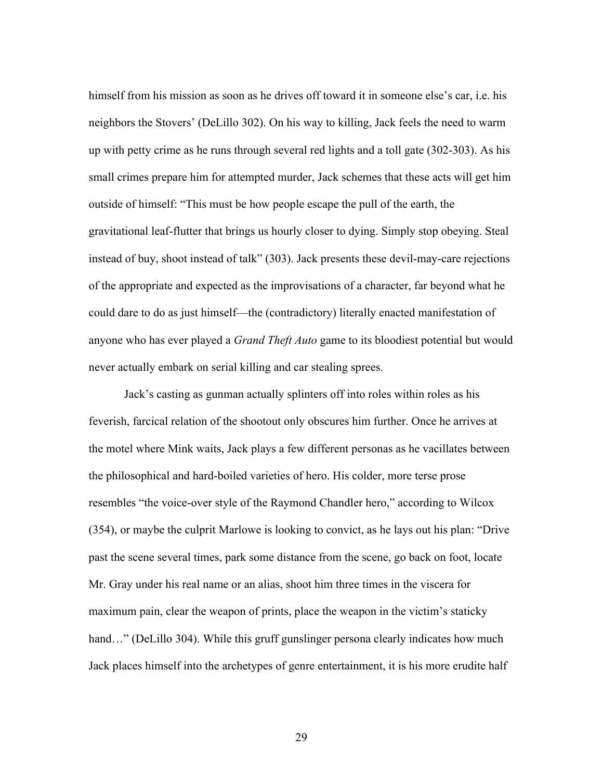himself from his mission as soon as he drives off toward it in someone else's car, i.e. his neighbors the Stovers' (DeLillo 302). On his way to killing, Jack feels the need to warm up with petty crime as he runs through several red lights and a toll gate (302-303). As his small crimes prepare him for attempted murder, Jack schemes that these acts will get him outside of himself: "This must be how people escape the pull of the earth, the gravitational leaf-flutter that brings us hourly closer to dying. Simply stop obeying. Steal instead of buy, shoot instead of talk" (303). Jack presents these devil-may-care rejections of the appropriate and expected as the improvisations of a character, far beyond what he could dare to do as just himself—the (contradictory) literally enacted manifestation of anyone who has ever played a *Grand Theft Auto* game to its bloodiest potential but would never actually embark on serial killing and car stealing sprees.

Jack's casting as gunman actually splinters off into roles within roles as his feverish, farcical relation of the shootout only obscures him further. Once he arrives at the motel where Mink waits, Jack plays a few different personas as he vacillates between the philosophical and hard-boiled varieties of hero. His colder, more terse prose resembles "the voice-over style of the Raymond Chandler hero," according to Wilcox (354), or maybe the culprit Marlowe is looking to convict, as he lays out his plan: "Drive past the scene several times, park some distance from the scene, go back on foot, locate Mr. Gray under his real name or an alias, shoot him three times in the viscera for maximum pain, clear the weapon of prints, place the weapon in the victim's staticky hand..." (DeLillo 304). While this gruff gunslinger persona clearly indicates how much Jack places himself into the archetypes of genre entertainment, it is his more erudite half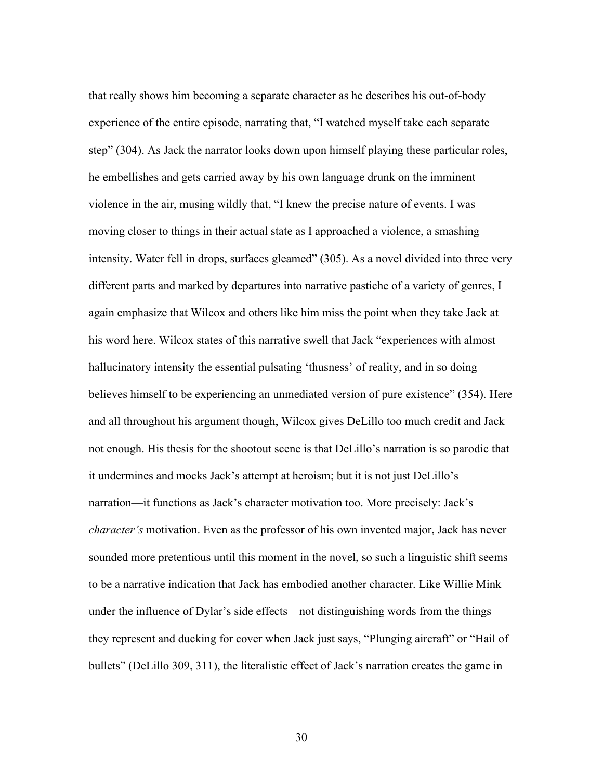that really shows him becoming a separate character as he describes his out-of-body experience of the entire episode, narrating that, "I watched myself take each separate step" (304). As Jack the narrator looks down upon himself playing these particular roles, he embellishes and gets carried away by his own language drunk on the imminent violence in the air, musing wildly that, "I knew the precise nature of events. I was moving closer to things in their actual state as I approached a violence, a smashing intensity. Water fell in drops, surfaces gleamed" (305). As a novel divided into three very different parts and marked by departures into narrative pastiche of a variety of genres, I again emphasize that Wilcox and others like him miss the point when they take Jack at his word here. Wilcox states of this narrative swell that Jack "experiences with almost hallucinatory intensity the essential pulsating 'thusness' of reality, and in so doing believes himself to be experiencing an unmediated version of pure existence" (354). Here and all throughout his argument though, Wilcox gives DeLillo too much credit and Jack not enough. His thesis for the shootout scene is that DeLillo's narration is so parodic that it undermines and mocks Jack's attempt at heroism; but it is not just DeLillo's narration—it functions as Jack's character motivation too. More precisely: Jack's *character's* motivation. Even as the professor of his own invented major, Jack has never sounded more pretentious until this moment in the novel, so such a linguistic shift seems to be a narrative indication that Jack has embodied another character. Like Willie Mink under the influence of Dylar's side effects—not distinguishing words from the things they represent and ducking for cover when Jack just says, "Plunging aircraft" or "Hail of bullets" (DeLillo 309, 311), the literalistic effect of Jack's narration creates the game in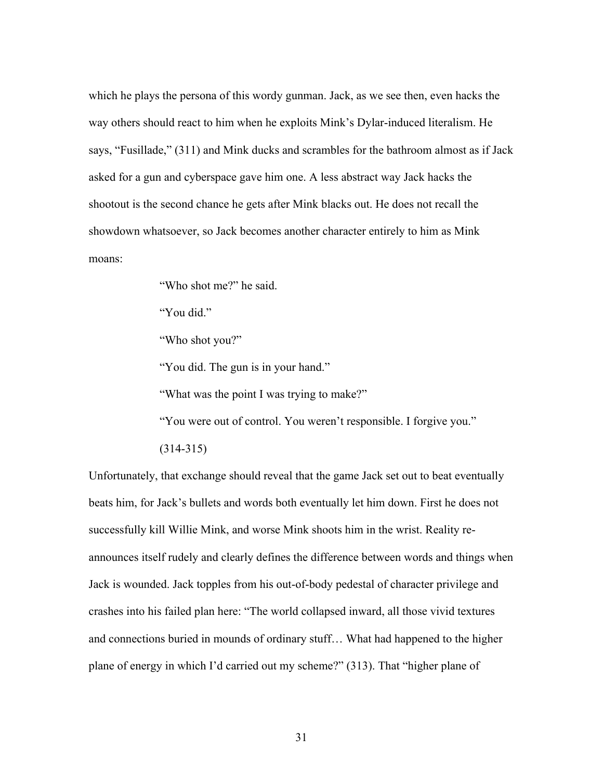which he plays the persona of this wordy gunman. Jack, as we see then, even hacks the way others should react to him when he exploits Mink's Dylar-induced literalism. He says, "Fusillade," (311) and Mink ducks and scrambles for the bathroom almost as if Jack asked for a gun and cyberspace gave him one. A less abstract way Jack hacks the shootout is the second chance he gets after Mink blacks out. He does not recall the showdown whatsoever, so Jack becomes another character entirely to him as Mink moans:

"Who shot me?" he said.

"You did."

"Who shot you?"

"You did. The gun is in your hand."

"What was the point I was trying to make?"

"You were out of control. You weren't responsible. I forgive you."

(314-315)

Unfortunately, that exchange should reveal that the game Jack set out to beat eventually beats him, for Jack's bullets and words both eventually let him down. First he does not successfully kill Willie Mink, and worse Mink shoots him in the wrist. Reality reannounces itself rudely and clearly defines the difference between words and things when Jack is wounded. Jack topples from his out-of-body pedestal of character privilege and crashes into his failed plan here: "The world collapsed inward, all those vivid textures and connections buried in mounds of ordinary stuff… What had happened to the higher plane of energy in which I'd carried out my scheme?" (313). That "higher plane of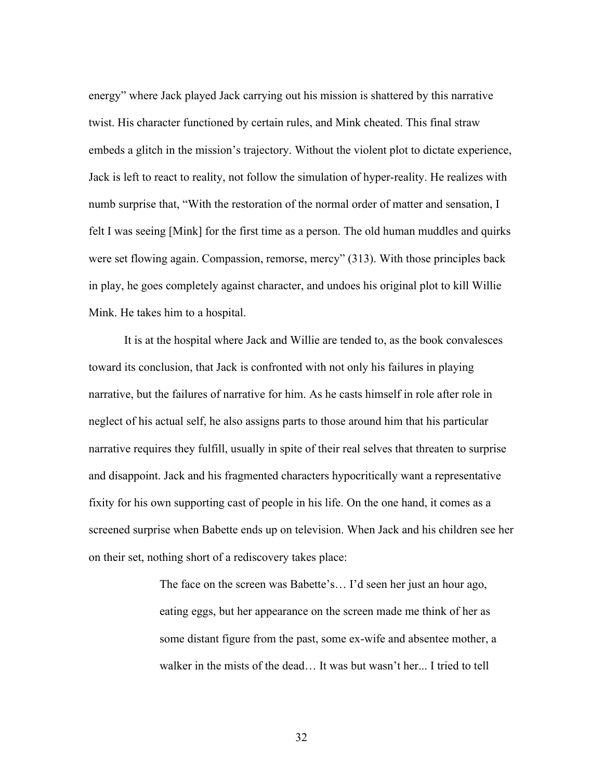energy" where Jack played Jack carrying out his mission is shattered by this narrative twist. His character functioned by certain rules, and Mink cheated. This final straw embeds a glitch in the mission's trajectory. Without the violent plot to dictate experience, Jack is left to react to reality, not follow the simulation of hyper-reality. He realizes with numb surprise that, "With the restoration of the normal order of matter and sensation, I felt I was seeing [Mink] for the first time as a person. The old human muddles and quirks were set flowing again. Compassion, remorse, mercy" (313). With those principles back in play, he goes completely against character, and undoes his original plot to kill Willie Mink. He takes him to a hospital.

It is at the hospital where Jack and Willie are tended to, as the book convalesces toward its conclusion, that Jack is confronted with not only his failures in playing narrative, but the failures of narrative for him. As he casts himself in role after role in neglect of his actual self, he also assigns parts to those around him that his particular narrative requires they fulfill, usually in spite of their real selves that threaten to surprise and disappoint. Jack and his fragmented characters hypocritically want a representative fixity for his own supporting cast of people in his life. On the one hand, it comes as a screened surprise when Babette ends up on television. When Jack and his children see her on their set, nothing short of a rediscovery takes place:

> The face on the screen was Babette's… I'd seen her just an hour ago, eating eggs, but her appearance on the screen made me think of her as some distant figure from the past, some ex-wife and absentee mother, a walker in the mists of the dead… It was but wasn't her... I tried to tell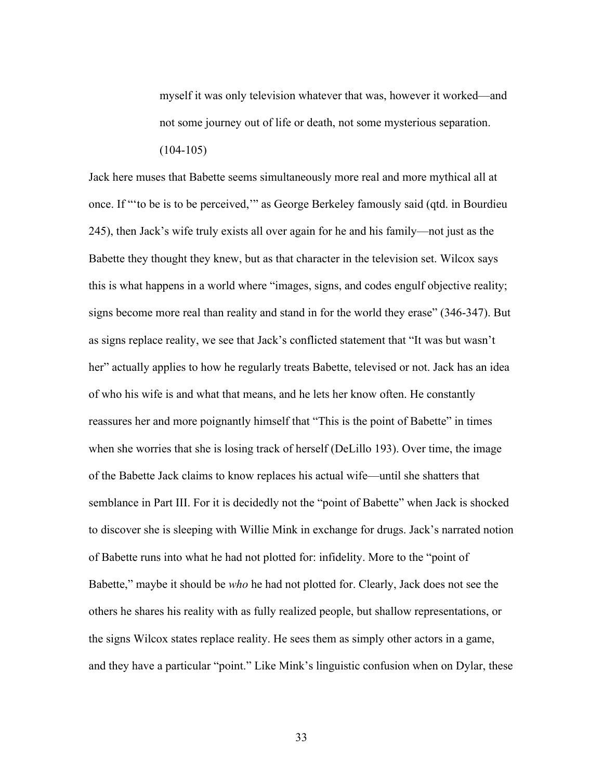myself it was only television whatever that was, however it worked—and not some journey out of life or death, not some mysterious separation.  $(104-105)$ 

Jack here muses that Babette seems simultaneously more real and more mythical all at once. If "'to be is to be perceived,'" as George Berkeley famously said (qtd. in Bourdieu 245), then Jack's wife truly exists all over again for he and his family—not just as the Babette they thought they knew, but as that character in the television set. Wilcox says this is what happens in a world where "images, signs, and codes engulf objective reality; signs become more real than reality and stand in for the world they erase" (346-347). But as signs replace reality, we see that Jack's conflicted statement that "It was but wasn't her" actually applies to how he regularly treats Babette, televised or not. Jack has an idea of who his wife is and what that means, and he lets her know often. He constantly reassures her and more poignantly himself that "This is the point of Babette" in times when she worries that she is losing track of herself (DeLillo 193). Over time, the image of the Babette Jack claims to know replaces his actual wife—until she shatters that semblance in Part III. For it is decidedly not the "point of Babette" when Jack is shocked to discover she is sleeping with Willie Mink in exchange for drugs. Jack's narrated notion of Babette runs into what he had not plotted for: infidelity. More to the "point of Babette," maybe it should be *who* he had not plotted for. Clearly, Jack does not see the others he shares his reality with as fully realized people, but shallow representations, or the signs Wilcox states replace reality. He sees them as simply other actors in a game, and they have a particular "point." Like Mink's linguistic confusion when on Dylar, these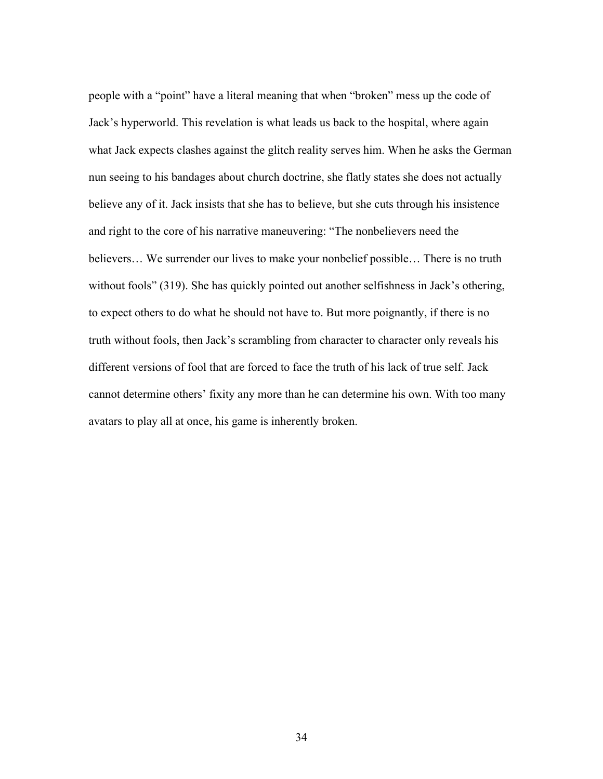people with a "point" have a literal meaning that when "broken" mess up the code of Jack's hyperworld. This revelation is what leads us back to the hospital, where again what Jack expects clashes against the glitch reality serves him. When he asks the German nun seeing to his bandages about church doctrine, she flatly states she does not actually believe any of it. Jack insists that she has to believe, but she cuts through his insistence and right to the core of his narrative maneuvering: "The nonbelievers need the believers… We surrender our lives to make your nonbelief possible… There is no truth without fools" (319). She has quickly pointed out another selfishness in Jack's othering, to expect others to do what he should not have to. But more poignantly, if there is no truth without fools, then Jack's scrambling from character to character only reveals his different versions of fool that are forced to face the truth of his lack of true self. Jack cannot determine others' fixity any more than he can determine his own. With too many avatars to play all at once, his game is inherently broken.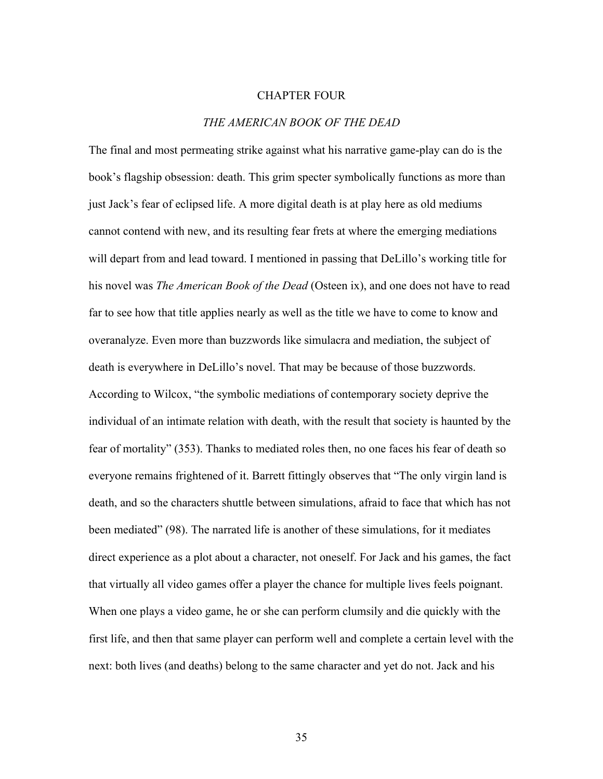## CHAPTER FOUR

## *THE AMERICAN BOOK OF THE DEAD*

The final and most permeating strike against what his narrative game-play can do is the book's flagship obsession: death. This grim specter symbolically functions as more than just Jack's fear of eclipsed life. A more digital death is at play here as old mediums cannot contend with new, and its resulting fear frets at where the emerging mediations will depart from and lead toward. I mentioned in passing that DeLillo's working title for his novel was *The American Book of the Dead* (Osteen ix), and one does not have to read far to see how that title applies nearly as well as the title we have to come to know and overanalyze. Even more than buzzwords like simulacra and mediation, the subject of death is everywhere in DeLillo's novel. That may be because of those buzzwords. According to Wilcox, "the symbolic mediations of contemporary society deprive the individual of an intimate relation with death, with the result that society is haunted by the fear of mortality" (353). Thanks to mediated roles then, no one faces his fear of death so everyone remains frightened of it. Barrett fittingly observes that "The only virgin land is death, and so the characters shuttle between simulations, afraid to face that which has not been mediated" (98). The narrated life is another of these simulations, for it mediates direct experience as a plot about a character, not oneself. For Jack and his games, the fact that virtually all video games offer a player the chance for multiple lives feels poignant. When one plays a video game, he or she can perform clumsily and die quickly with the first life, and then that same player can perform well and complete a certain level with the next: both lives (and deaths) belong to the same character and yet do not. Jack and his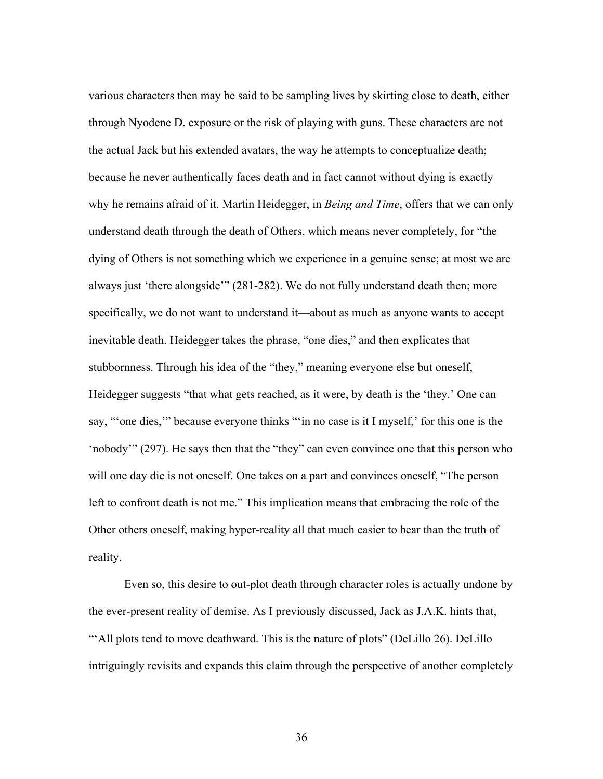various characters then may be said to be sampling lives by skirting close to death, either through Nyodene D. exposure or the risk of playing with guns. These characters are not the actual Jack but his extended avatars, the way he attempts to conceptualize death; because he never authentically faces death and in fact cannot without dying is exactly why he remains afraid of it. Martin Heidegger, in *Being and Time*, offers that we can only understand death through the death of Others, which means never completely, for "the dying of Others is not something which we experience in a genuine sense; at most we are always just 'there alongside'" (281-282). We do not fully understand death then; more specifically, we do not want to understand it—about as much as anyone wants to accept inevitable death. Heidegger takes the phrase, "one dies," and then explicates that stubbornness. Through his idea of the "they," meaning everyone else but oneself, Heidegger suggests "that what gets reached, as it were, by death is the 'they.' One can say, "'one dies," because everyone thinks "" in no case is it I myself, for this one is the 'nobody'" (297). He says then that the "they" can even convince one that this person who will one day die is not oneself. One takes on a part and convinces oneself, "The person left to confront death is not me." This implication means that embracing the role of the Other others oneself, making hyper-reality all that much easier to bear than the truth of reality.

Even so, this desire to out-plot death through character roles is actually undone by the ever-present reality of demise. As I previously discussed, Jack as J.A.K. hints that, "'All plots tend to move deathward. This is the nature of plots" (DeLillo 26). DeLillo intriguingly revisits and expands this claim through the perspective of another completely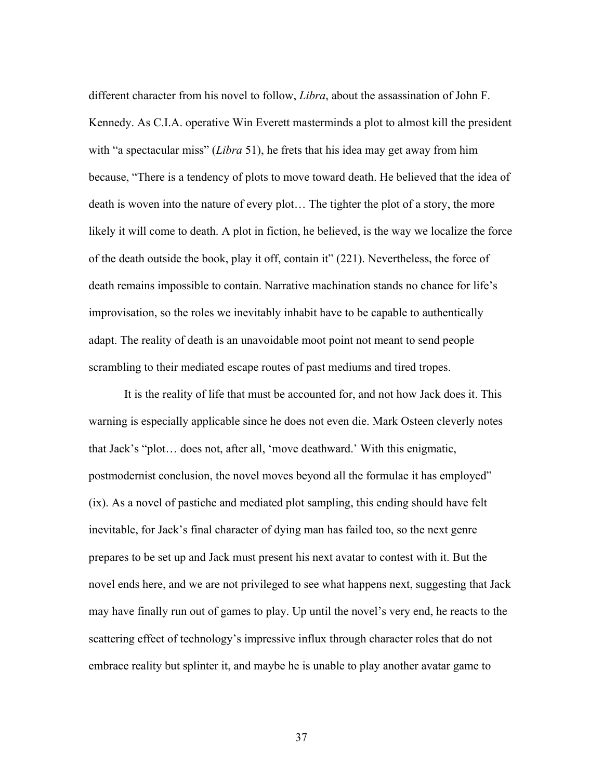different character from his novel to follow, *Libra*, about the assassination of John F. Kennedy. As C.I.A. operative Win Everett masterminds a plot to almost kill the president with "a spectacular miss" (*Libra* 51), he frets that his idea may get away from him because, "There is a tendency of plots to move toward death. He believed that the idea of death is woven into the nature of every plot… The tighter the plot of a story, the more likely it will come to death. A plot in fiction, he believed, is the way we localize the force of the death outside the book, play it off, contain it" (221). Nevertheless, the force of death remains impossible to contain. Narrative machination stands no chance for life's improvisation, so the roles we inevitably inhabit have to be capable to authentically adapt. The reality of death is an unavoidable moot point not meant to send people scrambling to their mediated escape routes of past mediums and tired tropes.

It is the reality of life that must be accounted for, and not how Jack does it. This warning is especially applicable since he does not even die. Mark Osteen cleverly notes that Jack's "plot… does not, after all, 'move deathward.' With this enigmatic, postmodernist conclusion, the novel moves beyond all the formulae it has employed" (ix). As a novel of pastiche and mediated plot sampling, this ending should have felt inevitable, for Jack's final character of dying man has failed too, so the next genre prepares to be set up and Jack must present his next avatar to contest with it. But the novel ends here, and we are not privileged to see what happens next, suggesting that Jack may have finally run out of games to play. Up until the novel's very end, he reacts to the scattering effect of technology's impressive influx through character roles that do not embrace reality but splinter it, and maybe he is unable to play another avatar game to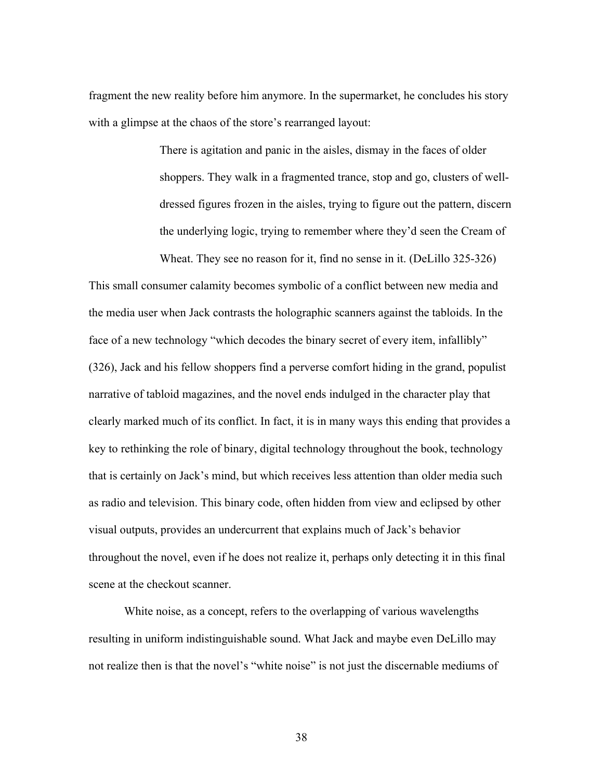fragment the new reality before him anymore. In the supermarket, he concludes his story with a glimpse at the chaos of the store's rearranged layout:

> There is agitation and panic in the aisles, dismay in the faces of older shoppers. They walk in a fragmented trance, stop and go, clusters of welldressed figures frozen in the aisles, trying to figure out the pattern, discern the underlying logic, trying to remember where they'd seen the Cream of Wheat. They see no reason for it, find no sense in it. (DeLillo 325-326)

This small consumer calamity becomes symbolic of a conflict between new media and the media user when Jack contrasts the holographic scanners against the tabloids. In the face of a new technology "which decodes the binary secret of every item, infallibly" (326), Jack and his fellow shoppers find a perverse comfort hiding in the grand, populist narrative of tabloid magazines, and the novel ends indulged in the character play that clearly marked much of its conflict. In fact, it is in many ways this ending that provides a key to rethinking the role of binary, digital technology throughout the book, technology that is certainly on Jack's mind, but which receives less attention than older media such as radio and television. This binary code, often hidden from view and eclipsed by other visual outputs, provides an undercurrent that explains much of Jack's behavior throughout the novel, even if he does not realize it, perhaps only detecting it in this final scene at the checkout scanner.

White noise, as a concept, refers to the overlapping of various wavelengths resulting in uniform indistinguishable sound. What Jack and maybe even DeLillo may not realize then is that the novel's "white noise" is not just the discernable mediums of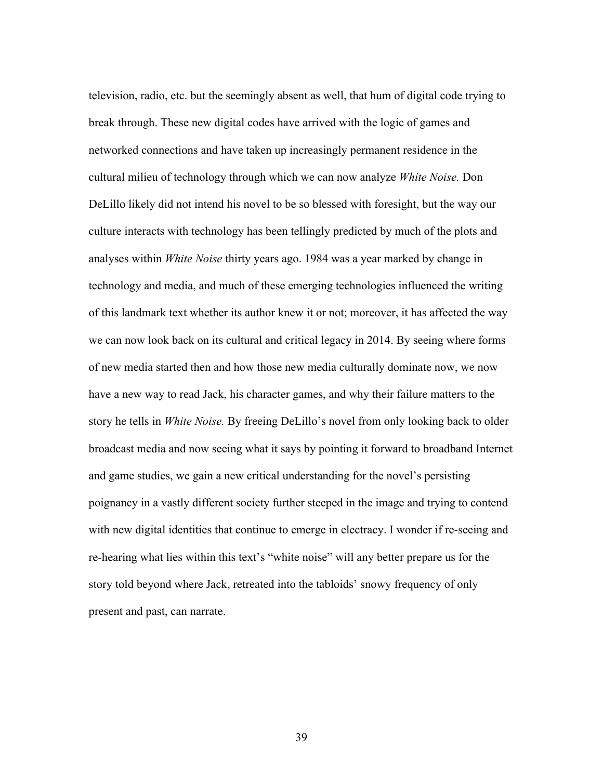television, radio, etc. but the seemingly absent as well, that hum of digital code trying to break through. These new digital codes have arrived with the logic of games and networked connections and have taken up increasingly permanent residence in the cultural milieu of technology through which we can now analyze *White Noise.* Don DeLillo likely did not intend his novel to be so blessed with foresight, but the way our culture interacts with technology has been tellingly predicted by much of the plots and analyses within *White Noise* thirty years ago. 1984 was a year marked by change in technology and media, and much of these emerging technologies influenced the writing of this landmark text whether its author knew it or not; moreover, it has affected the way we can now look back on its cultural and critical legacy in 2014. By seeing where forms of new media started then and how those new media culturally dominate now, we now have a new way to read Jack, his character games, and why their failure matters to the story he tells in *White Noise.* By freeing DeLillo's novel from only looking back to older broadcast media and now seeing what it says by pointing it forward to broadband Internet and game studies, we gain a new critical understanding for the novel's persisting poignancy in a vastly different society further steeped in the image and trying to contend with new digital identities that continue to emerge in electracy. I wonder if re-seeing and re-hearing what lies within this text's "white noise" will any better prepare us for the story told beyond where Jack, retreated into the tabloids' snowy frequency of only present and past, can narrate.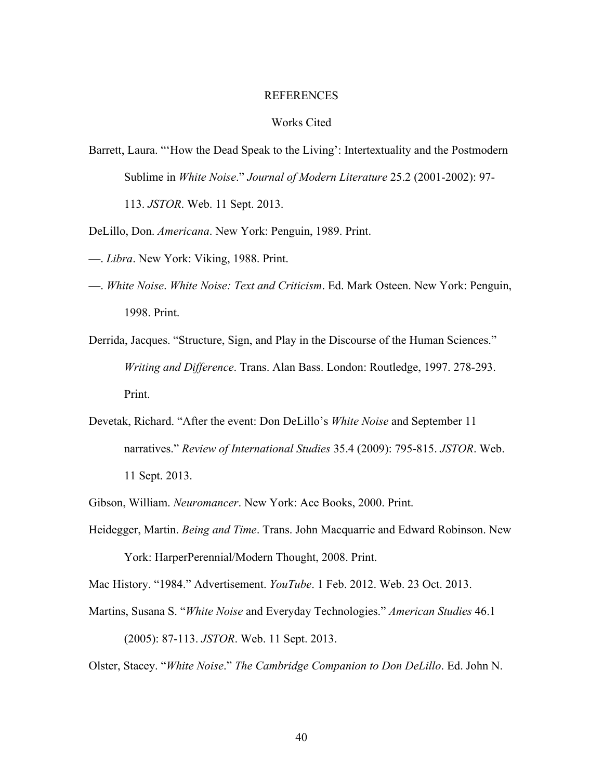#### REFERENCES

# Works Cited

- Barrett, Laura. "How the Dead Speak to the Living': Intertextuality and the Postmodern Sublime in *White Noise*." *Journal of Modern Literature* 25.2 (2001-2002): 97- 113. *JSTOR*. Web. 11 Sept. 2013.
- DeLillo, Don. *Americana*. New York: Penguin, 1989. Print.
- —. *Libra*. New York: Viking, 1988. Print.
- —. *White Noise*. *White Noise: Text and Criticism*. Ed. Mark Osteen. New York: Penguin, 1998. Print.
- Derrida, Jacques. "Structure, Sign, and Play in the Discourse of the Human Sciences." *Writing and Difference*. Trans. Alan Bass. London: Routledge, 1997. 278-293. Print.
- Devetak, Richard. "After the event: Don DeLillo's *White Noise* and September 11 narratives." *Review of International Studies* 35.4 (2009): 795-815. *JSTOR*. Web. 11 Sept. 2013.
- Gibson, William. *Neuromancer*. New York: Ace Books, 2000. Print.
- Heidegger, Martin. *Being and Time*. Trans. John Macquarrie and Edward Robinson. New York: HarperPerennial/Modern Thought, 2008. Print.
- Mac History. "1984." Advertisement. *YouTube*. 1 Feb. 2012. Web. 23 Oct. 2013.
- Martins, Susana S. "*White Noise* and Everyday Technologies." *American Studies* 46.1

(2005): 87-113. *JSTOR*. Web. 11 Sept. 2013.

Olster, Stacey. "*White Noise*." *The Cambridge Companion to Don DeLillo*. Ed. John N.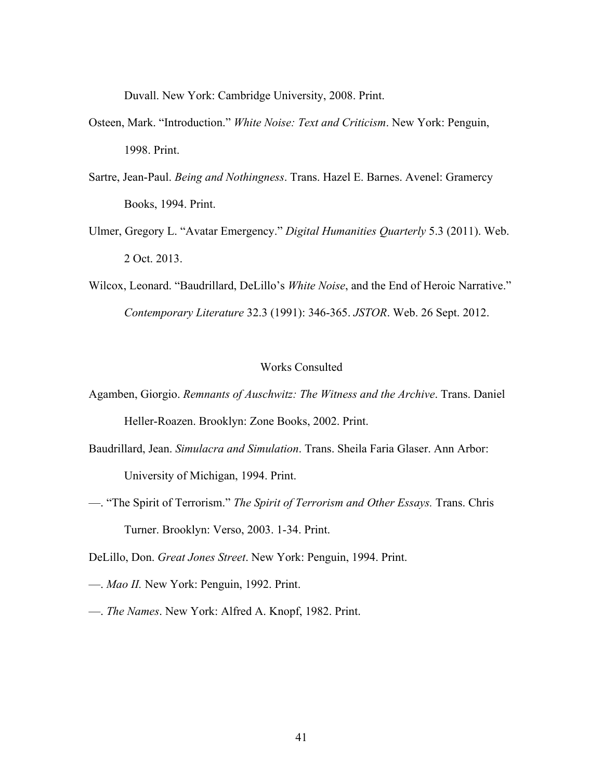Duvall. New York: Cambridge University, 2008. Print.

- Osteen, Mark. "Introduction." *White Noise: Text and Criticism*. New York: Penguin, 1998. Print.
- Sartre, Jean-Paul. *Being and Nothingness*. Trans. Hazel E. Barnes. Avenel: Gramercy Books, 1994. Print.
- Ulmer, Gregory L. "Avatar Emergency." *Digital Humanities Quarterly* 5.3 (2011). Web. 2 Oct. 2013.
- Wilcox, Leonard. "Baudrillard, DeLillo's *White Noise*, and the End of Heroic Narrative." *Contemporary Literature* 32.3 (1991): 346-365. *JSTOR*. Web. 26 Sept. 2012.

# Works Consulted

- Agamben, Giorgio. *Remnants of Auschwitz: The Witness and the Archive*. Trans. Daniel Heller-Roazen. Brooklyn: Zone Books, 2002. Print.
- Baudrillard, Jean. *Simulacra and Simulation*. Trans. Sheila Faria Glaser. Ann Arbor: University of Michigan, 1994. Print.
- —. "The Spirit of Terrorism." *The Spirit of Terrorism and Other Essays.* Trans. Chris Turner. Brooklyn: Verso, 2003. 1-34. Print.

DeLillo, Don. *Great Jones Street*. New York: Penguin, 1994. Print.

- —. *Mao II.* New York: Penguin, 1992. Print.
- —. *The Names*. New York: Alfred A. Knopf, 1982. Print.